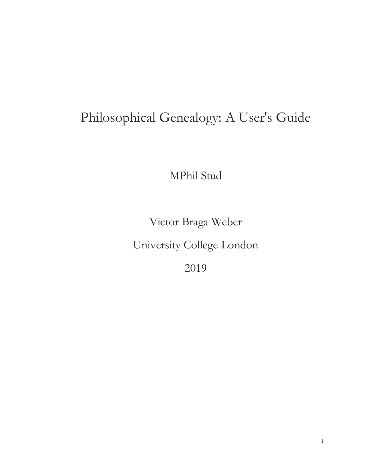# Philosophical Genealogy: A User's Guide

MPhil Stud

Victor Braga Weber

University College London

2019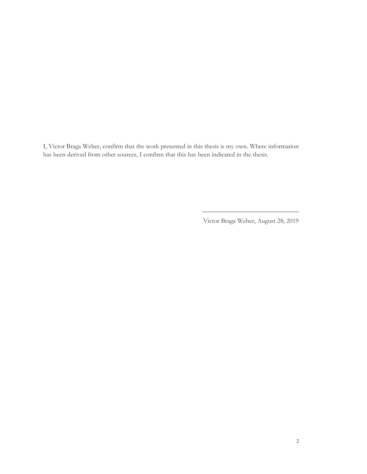I, Victor Braga Weber, confirm that the work presented in this thesis is my own. Where information has been derived from other sources, I confirm that this has been indicated in the thesis.

Victor Braga Weber, August 28, 2019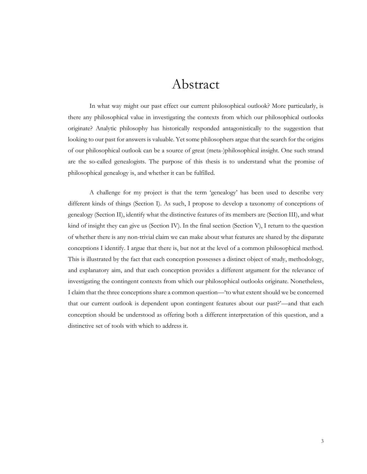### Abstract

<span id="page-2-0"></span>In what way might our past effect our current philosophical outlook? More particularly, is there any philosophical value in investigating the contexts from which our philosophical outlooks originate? Analytic philosophy has historically responded antagonistically to the suggestion that looking to our past for answers is valuable. Yet some philosophers argue that the search for the origins of our philosophical outlook can be a source of great (meta-)philosophical insight. One such strand are the so-called genealogists. The purpose of this thesis is to understand what the promise of philosophical genealogy is, and whether it can be fulfilled.

A challenge for my project is that the term 'genealogy' has been used to describe very different kinds of things (Section I). As such, I propose to develop a taxonomy of conceptions of genealogy (Section II), identify what the distinctive features of its members are (Section III), and what kind of insight they can give us (Section IV). In the final section (Section V), I return to the question of whether there is any non-trivial claim we can make about what features are shared by the disparate conceptions I identify. I argue that there is, but not at the level of a common philosophical method. This is illustrated by the fact that each conception possesses a distinct object of study, methodology, and explanatory aim, and that each conception provides a different argument for the relevance of investigating the contingent contexts from which our philosophical outlooks originate. Nonetheless, I claim that the three conceptions share a common question—'to what extent should we be concerned that our current outlook is dependent upon contingent features about our past?'—and that each conception should be understood as offering both a different interpretation of this question, and a distinctive set of tools with which to address it.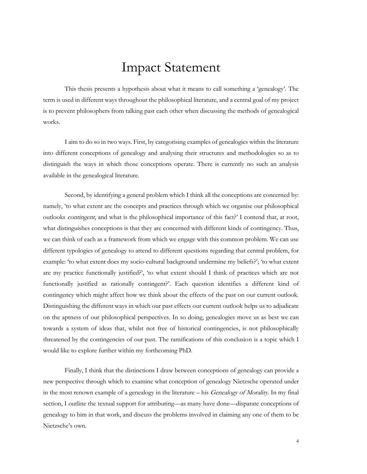## Impact Statement

This thesis presents a hypothesis about what it means to call something a 'genealogy'. The term is used in different ways throughout the philosophical literature, and a central goal of my project is to prevent philosophers from talking past each other when discussing the methods of genealogical works.

I aim to do so in two ways. First, by categorising examples of genealogies within the literature into different conceptions of genealogy and analysing their structures and methodologies so as to distinguish the ways in which those conceptions operate. There is currently no such an analysis available in the genealogical literature.

Second, by identifying a general problem which I think all the conceptions are concerned by: namely, 'to what extent are the concepts and practices through which we organise our philosophical outlooks contingent, and what is the philosophical importance of this fact?' I contend that, at root, what distinguishes conceptions is that they are concerned with different kinds of contingency. Thus, we can think of each as a framework from which we engage with this common problem. We can use different typologies of genealogy to attend to different questions regarding that central problem, for example: 'to what extent does my socio-cultural background undermine my beliefs?'; 'to what extent are my practice functionally justified?', 'to what extent should I think of practices which are not functionally justified as rationally contingent?'. Each question identifies a different kind of contingency which might affect how we think about the effects of the past on our current outlook. Distinguishing the different ways in which our past effects our current outlook helps us to adjudicate on the aptness of our philosophical perspectives. In so doing, genealogies move us as best we can towards a system of ideas that, whilst not free of historical contingencies, is not philosophically threatened by the contingencies of our past. The ramifications of this conclusion is a topic which I would like to explore further within my forthcoming PhD.

Finally, I think that the distinctions I draw between conceptions of genealogy can provide a new perspective through which to examine what conception of genealogy Nietzsche operated under in the most renown example of a genealogy in the literature – his *Genealogy of Morality*. In my final section, I outline the textual support for attributing—as many have done—disparate conceptions of genealogy to him in that work, and discuss the problems involved in claiming any one of them to be Nietzsche's own.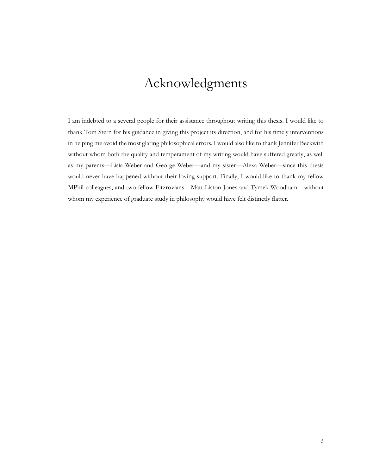## Acknowledgments

I am indebted to a several people for their assistance throughout writing this thesis. I would like to thank Tom Stern for his guidance in giving this project its direction, and for his timely interventions in helping me avoid the most glaring philosophical errors. I would also like to thank Jennifer Beckwith without whom both the quality and temperament of my writing would have suffered greatly, as well as my parents—Lisia Weber and George Weber—and my sister—Alexa Weber—since this thesis would never have happened without their loving support. Finally, I would like to thank my fellow MPhil colleagues, and two fellow Fitzrovians—Matt Liston-Jones and Tymek Woodham—without whom my experience of graduate study in philosophy would have felt distinctly flatter.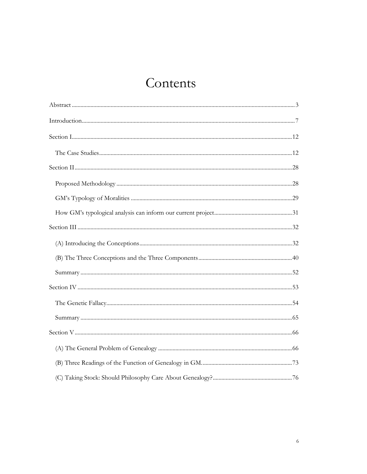# Contents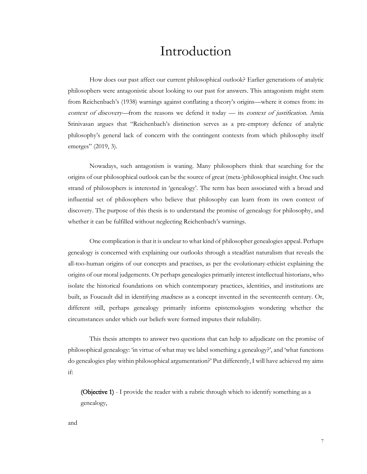## Introduction

<span id="page-6-0"></span>How does our past affect our current philosophical outlook? Earlier generations of analytic philosophers were antagonistic about looking to our past for answers. This antagonism might stem from Reichenbach's (1938) warnings against conflating a theory's origins—where it comes from: its context of discovery—from the reasons we defend it today — its context of justification. Amia Srinivasan argues that "Reichenbach's distinction serves as a pre-emptory defence of analytic philosophy's general lack of concern with the contingent contexts from which philosophy itself emerges" (2019, 3).

Nowadays, such antagonism is waning. Many philosophers think that searching for the origins of our philosophical outlook can be the source of great (meta-)philosophical insight. One such strand of philosophers is interested in 'genealogy'. The term has been associated with a broad and influential set of philosophers who believe that philosophy can learn from its own context of discovery. The purpose of this thesis is to understand the promise of genealogy for philosophy, and whether it can be fulfilled without neglecting Reichenbach's warnings.

One complication is that it is unclear to what kind of philosopher genealogies appeal. Perhaps genealogy is concerned with explaining our outlooks through a steadfast naturalism that reveals the all-too-human origins of our concepts and practises, as per the evolutionary-ethicist explaining the origins of our moral judgements. Or perhaps genealogies primarily interest intellectual historians, who isolate the historical foundations on which contemporary practices, identities, and institutions are built, as Foucault did in identifying *madness* as a concept invented in the seventeenth century. Or, different still, perhaps genealogy primarily informs epistemologists wondering whether the circumstances under which our beliefs were formed imputes their reliability.

This thesis attempts to answer two questions that can help to adjudicate on the promise of philosophical genealogy: 'in virtue of what may we label something a genealogy?', and 'what functions do genealogies play within philosophical argumentation?' Put differently, I will have achieved my aims if:

(Objective 1) - I provide the reader with a rubric through which to identify something as a genealogy,

and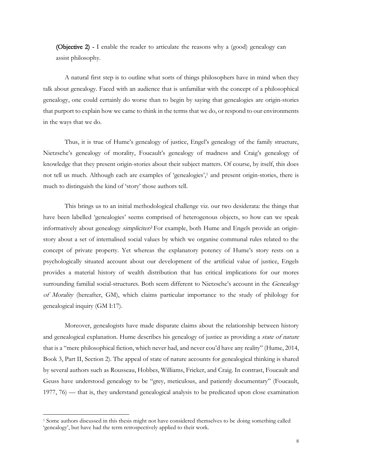(Objective 2) - I enable the reader to articulate the reasons why a (good) genealogy can assist philosophy.

A natural first step is to outline what sorts of things philosophers have in mind when they talk about genealogy. Faced with an audience that is unfamiliar with the concept of a philosophical genealogy, one could certainly do worse than to begin by saying that genealogies are origin-stories that purport to explain how we came to think in the terms that we do, or respond to our environments in the ways that we do.

Thus, it is true of Hume's genealogy of justice, Engel's genealogy of the family structure, Nietzsche's genealogy of morality, Foucault's genealogy of madness and Craig's genealogy of knowledge that they present origin-stories about their subject matters. Of course, by itself, this does not tell us much. Although each are examples of 'genealogies',<sup>1</sup> and present origin-stories, there is much to distinguish the kind of 'story' those authors tell.

This brings us to an initial methodological challenge viz. our two desiderata: the things that have been labelled 'genealogies' seems comprised of heterogenous objects, so how can we speak informatively about genealogy *simpliciter?* For example, both Hume and Engels provide an originstory about a set of internalised social values by which we organise communal rules related to the concept of private property. Yet whereas the explanatory potency of Hume's story rests on a psychologically situated account about our development of the artificial value of justice, Engels provides a material history of wealth distribution that has critical implications for our mores surrounding familial social-structures. Both seem different to Nietzsche's account in the *Genealogy* of Morality (hereafter, GM), which claims particular importance to the study of philology for genealogical inquiry (GM I:17).

Moreover, genealogists have made disparate claims about the relationship between history and genealogical explanation. Hume describes his genealogy of justice as providing a *state of nature* that is a "mere philosophical fiction, which never had, and never cou'd have any reality" (Hume, 2014, Book 3, Part II, Section 2). The appeal of state of nature accounts for genealogical thinking is shared by several authors such as Rousseau, Hobbes, Williams, Fricker, and Craig. In contrast, Foucault and Geuss have understood genealogy to be "grey, meticulous, and patiently documentary" (Foucault, 1977, 76) — that is, they understand genealogical analysis to be predicated upon close examination

<sup>1</sup> Some authors discussed in this thesis might not have considered themselves to be doing something called 'genealogy', but have had the term retrospectively applied to their work.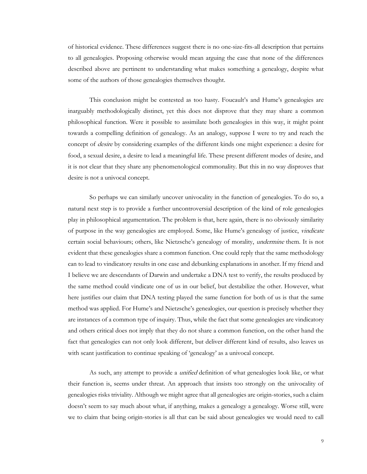of historical evidence. These differences suggest there is no one-size-fits-all description that pertains to all genealogies. Proposing otherwise would mean arguing the case that none of the differences described above are pertinent to understanding what makes something a genealogy, despite what some of the authors of those genealogies themselves thought.

This conclusion might be contested as too hasty. Foucault's and Hume's genealogies are inarguably methodologically distinct, yet this does not disprove that they may share a common philosophical function. Were it possible to assimilate both genealogies in this way, it might point towards a compelling definition of genealogy. As an analogy, suppose I were to try and reach the concept of desire by considering examples of the different kinds one might experience: a desire for food, a sexual desire, a desire to lead a meaningful life. These present different modes of desire, and it is not clear that they share any phenomenological commonality. But this in no way disproves that desire is not a univocal concept.

So perhaps we can similarly uncover univocality in the function of genealogies. To do so, a natural next step is to provide a further uncontroversial description of the kind of role genealogies play in philosophical argumentation. The problem is that, here again, there is no obviously similarity of purpose in the way genealogies are employed. Some, like Hume's genealogy of justice, vindicate certain social behaviours; others, like Nietzsche's genealogy of morality, undermine them. It is not evident that these genealogies share a common function. One could reply that the same methodology can to lead to vindicatory results in one case and debunking explanations in another. If my friend and I believe we are descendants of Darwin and undertake a DNA test to verify, the results produced by the same method could vindicate one of us in our belief, but destabilize the other. However, what here justifies our claim that DNA testing played the same function for both of us is that the same method was applied. For Hume's and Nietzsche's genealogies, our question is precisely whether they are instances of a common type of inquiry. Thus, while the fact that some genealogies are vindicatory and others critical does not imply that they do not share a common function, on the other hand the fact that genealogies can not only look different, but deliver different kind of results, also leaves us with scant justification to continue speaking of 'genealogy' as a univocal concept.

As such, any attempt to provide a *unified* definition of what genealogies look like, or what their function is, seems under threat. An approach that insists too strongly on the univocality of genealogies risks triviality. Although we might agree that all genealogies are origin-stories, such a claim doesn't seem to say much about what, if anything, makes a genealogy a genealogy. Worse still, were we to claim that being origin-stories is all that can be said about genealogies we would need to call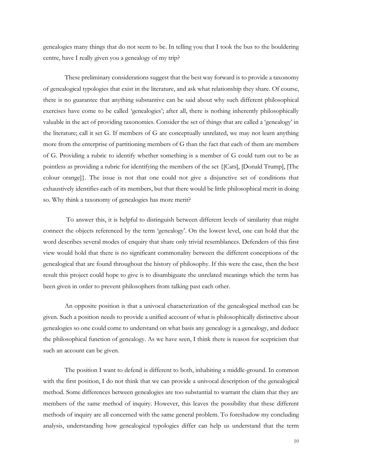genealogies many things that do not seem to be. In telling you that I took the bus to the bouldering centre, have I really given you a genealogy of my trip?

These preliminary considerations suggest that the best way forward is to provide a taxonomy of genealogical typologies that exist in the literature, and ask what relationship they share. Of course, there is no guarantee that anything substantive can be said about why such different philosophical exercises have come to be called 'genealogies'; after all, there is nothing inherently philosophically valuable in the act of providing taxonomies. Consider the set of things that are called a 'genealogy' in the literature; call it set G. If members of G are conceptually unrelated, we may not learn anything more from the enterprise of partitioning members of G than the fact that each of them are members of G. Providing a rubric to identify whether something is a member of G could turn out to be as pointless as providing a rubric for identifying the members of the set {[Cats], [Donald Trump], [The colour orange]}. The issue is not that one could not give a disjunctive set of conditions that exhaustively identifies each of its members, but that there would be little philosophical merit in doing so. Why think a taxonomy of genealogies has more merit?

To answer this, it is helpful to distinguish between different levels of similarity that might connect the objects referenced by the term 'genealogy'. On the lowest level, one can hold that the word describes several modes of enquiry that share only trivial resemblances. Defenders of this first view would hold that there is no significant commonality between the different conceptions of the genealogical that are found throughout the history of philosophy. If this were the case, then the best result this project could hope to give is to disambiguate the unrelated meanings which the term has been given in order to prevent philosophers from talking past each other.

An opposite position is that a univocal characterization of the genealogical method can be given. Such a position needs to provide a unified account of what is philosophically distinctive about genealogies so one could come to understand on what basis any genealogy is a genealogy, and deduce the philosophical function of genealogy. As we have seen, I think there is reason for scepticism that such an account can be given.

The position I want to defend is different to both, inhabiting a middle-ground. In common with the first position, I do not think that we can provide a univocal description of the genealogical method. Some differences between genealogies are too substantial to warrant the claim that they are members of the same method of inquiry. However, this leaves the possibility that these different methods of inquiry are all concerned with the same general problem. To foreshadow my concluding analysis, understanding how genealogical typologies differ can help us understand that the term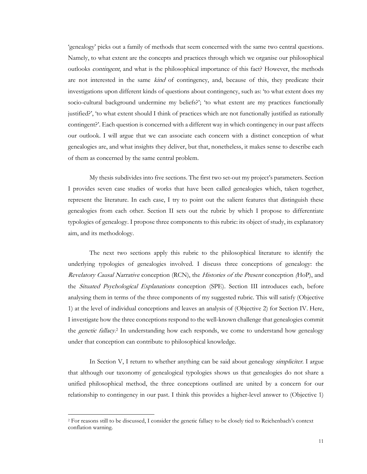'genealogy' picks out a family of methods that seem concerned with the same two central questions. Namely, to what extent are the concepts and practices through which we organise our philosophical outlooks contingent, and what is the philosophical importance of this fact? However, the methods are not interested in the same kind of contingency, and, because of this, they predicate their investigations upon different kinds of questions about contingency, such as: 'to what extent does my socio-cultural background undermine my beliefs?'; 'to what extent are my practices functionally justified?', 'to what extent should I think of practices which are not functionally justified as rationally contingent?'. Each question is concerned with a different way in which contingency in our past affects our outlook. I will argue that we can associate each concern with a distinct conception of what genealogies are, and what insights they deliver, but that, nonetheless, it makes sense to describe each of them as concerned by the same central problem.

My thesis subdivides into five sections. The first two set-out my project's parameters. Section I provides seven case studies of works that have been called genealogies which, taken together, represent the literature. In each case, I try to point out the salient features that distinguish these genealogies from each other. Section II sets out the rubric by which I propose to differentiate typologies of genealogy. I propose three components to this rubric: its object of study, its explanatory aim, and its methodology.

The next two sections apply this rubric to the philosophical literature to identify the underlying typologies of genealogies involved. I discuss three conceptions of genealogy: the Revelatory Causal Narrative conception (RCN), the Histories of the Present conception (HoP), and the Situated Psychological Explanations conception (SPE). Section III introduces each, before analysing them in terms of the three components of my suggested rubric. This will satisfy (Objective 1) at the level of individual conceptions and leaves an analysis of (Objective 2) for Section IV. Here, I investigate how the three conceptions respond to the well-known challenge that genealogies commit the *genetic fallacy*.<sup>2</sup> In understanding how each responds, we come to understand how genealogy under that conception can contribute to philosophical knowledge.

In Section V, I return to whether anything can be said about genealogy *simpliciter*. I argue that although our taxonomy of genealogical typologies shows us that genealogies do not share a unified philosophical method, the three conceptions outlined are united by a concern for our relationship to contingency in our past. I think this provides a higher-level answer to (Objective 1)

<sup>2</sup> For reasons still to be discussed, I consider the genetic fallacy to be closely tied to Reichenbach's context conflation warning.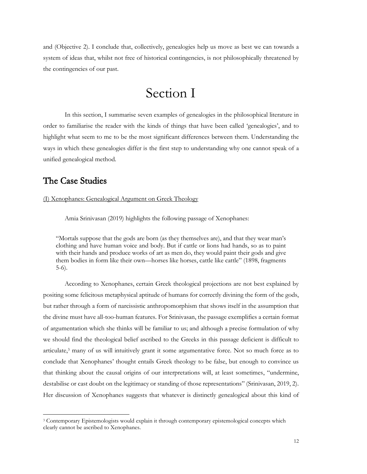and (Objective 2). I conclude that, collectively, genealogies help us move as best we can towards a system of ideas that, whilst not free of historical contingencies, is not philosophically threatened by the contingencies of our past.

### Section I

<span id="page-11-0"></span>In this section, I summarise seven examples of genealogies in the philosophical literature in order to familiarise the reader with the kinds of things that have been called 'genealogies', and to highlight what seem to me to be the most significant differences between them. Understanding the ways in which these genealogies differ is the first step to understanding why one cannot speak of a unified genealogical method.

### <span id="page-11-1"></span>The Case Studies

(I) Xenophanes: Genealogical Argument on Greek Theology

Amia Srinivasan (2019) highlights the following passage of Xenophanes:

"Mortals suppose that the gods are born (as they themselves are), and that they wear man's clothing and have human voice and body. But if cattle or lions had hands, so as to paint with their hands and produce works of art as men do, they would paint their gods and give them bodies in form like their own—horses like horses, cattle like cattle" (1898, fragments 5-6).

According to Xenophanes, certain Greek theological projections are not best explained by positing some felicitous metaphysical aptitude of humans for correctly divining the form of the gods, but rather through a form of narcissistic anthropomorphism that shows itself in the assumption that the divine must have all-too-human features. For Srinivasan, the passage exemplifies a certain format of argumentation which she thinks will be familiar to us; and although a precise formulation of why we should find the theological belief ascribed to the Greeks in this passage deficient is difficult to articulate,<sup>3</sup> many of us will intuitively grant it some argumentative force. Not so much force as to conclude that Xenophanes' thought entails Greek theology to be false, but enough to convince us that thinking about the causal origins of our interpretations will, at least sometimes, "undermine, destabilise or cast doubt on the legitimacy or standing of those representations" (Srinivasan, 2019, 2). Her discussion of Xenophanes suggests that whatever is distinctly genealogical about this kind of

<sup>&</sup>lt;sup>3</sup> Contemporary Epistemologists would explain it through contemporary epistemological concepts which clearly cannot be ascribed to Xenophanes.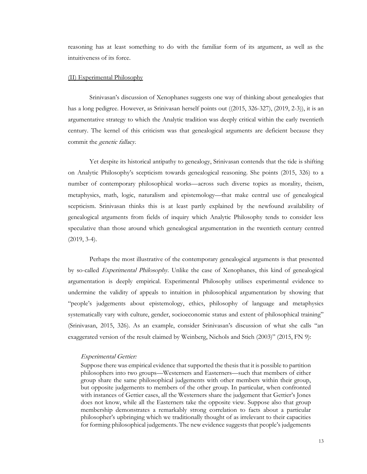reasoning has at least something to do with the familiar form of its argument, as well as the intuitiveness of its force.

#### (II) Experimental Philosophy

Srinivasan's discussion of Xenophanes suggests one way of thinking about genealogies that has a long pedigree. However, as Srinivasan herself points out ((2015, 326-327), (2019, 2-3)), it is an argumentative strategy to which the Analytic tradition was deeply critical within the early twentieth century. The kernel of this criticism was that genealogical arguments are deficient because they commit the *genetic fallacy*.

Yet despite its historical antipathy to genealogy, Srinivasan contends that the tide is shifting on Analytic Philosophy's scepticism towards genealogical reasoning. She points (2015, 326) to a number of contemporary philosophical works—across such diverse topics as morality, theism, metaphysics, math, logic, naturalism and epistemology—that make central use of genealogical scepticism. Srinivasan thinks this is at least partly explained by the newfound availability of genealogical arguments from fields of inquiry which Analytic Philosophy tends to consider less speculative than those around which genealogical argumentation in the twentieth century centred (2019, 3-4).

Perhaps the most illustrative of the contemporary genealogical arguments is that presented by so-called Experimental Philosophy. Unlike the case of Xenophanes, this kind of genealogical argumentation is deeply empirical. Experimental Philosophy utilises experimental evidence to undermine the validity of appeals to intuition in philosophical argumentation by showing that "people's judgements about epistemology, ethics, philosophy of language and metaphysics systematically vary with culture, gender, socioeconomic status and extent of philosophical training" (Srinivasan, 2015, 326). As an example, consider Srinivasan's discussion of what she calls "an exaggerated version of the result claimed by Weinberg, Nichols and Stich (2003)" (2015, FN 9):

#### Experimental Gettier:

Suppose there was empirical evidence that supported the thesis that it is possible to partition philosophers into two groups—Westerners and Easterners—such that members of either group share the same philosophical judgements with other members within their group, but opposite judgements to members of the other group. In particular, when confronted with instances of Gettier cases, all the Westerners share the judgement that Gettier's Jones does not know, while all the Easterners take the opposite view. Suppose also that group membership demonstrates a remarkably strong correlation to facts about a particular philosopher's upbringing which we traditionally thought of as irrelevant to their capacities for forming philosophical judgements. The new evidence suggests that people's judgements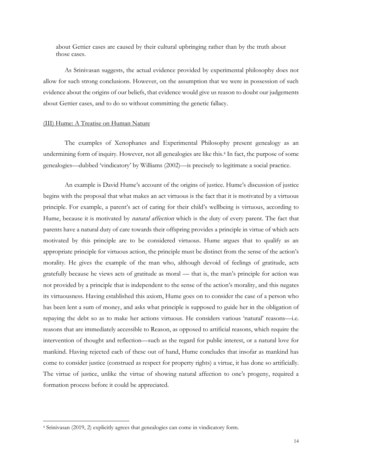about Gettier cases are caused by their cultural upbringing rather than by the truth about those cases.

As Srinivasan suggests, the actual evidence provided by experimental philosophy does not allow for such strong conclusions. However, on the assumption that we were in possession of such evidence about the origins of our beliefs, that evidence would give us reason to doubt our judgements about Gettier cases, and to do so without committing the genetic fallacy.

#### (III) Hume: A Treatise on Human Nature

The examples of Xenophanes and Experimental Philosophy present genealogy as an undermining form of inquiry. However, not all genealogies are like this.<sup>4</sup> In fact, the purpose of some genealogies—dubbed 'vindicatory' by Williams (2002)—is precisely to legitimate a social practice.

An example is David Hume's account of the origins of justice. Hume's discussion of justice begins with the proposal that what makes an act virtuous is the fact that it is motivated by a virtuous principle. For example, a parent's act of caring for their child's wellbeing is virtuous, according to Hume, because it is motivated by *natural affection* which is the duty of every parent. The fact that parents have a natural duty of care towards their offspring provides a principle in virtue of which acts motivated by this principle are to be considered virtuous. Hume argues that to qualify as an appropriate principle for virtuous action, the principle must be distinct from the sense of the action's morality. He gives the example of the man who, although devoid of feelings of gratitude, acts gratefully because he views acts of gratitude as moral — that is, the man's principle for action was not provided by a principle that is independent to the sense of the action's morality, and this negates its virtuousness. Having established this axiom, Hume goes on to consider the case of a person who has been lent a sum of money, and asks what principle is supposed to guide her in the obligation of repaying the debt so as to make her actions virtuous. He considers various 'natural' reasons—i.e. reasons that are immediately accessible to Reason, as opposed to artificial reasons, which require the intervention of thought and reflection—such as the regard for public interest, or a natural love for mankind. Having rejected each of these out of hand, Hume concludes that insofar as mankind has come to consider justice (construed as respect for property rights) a virtue, it has done so artificially. The virtue of justice, unlike the virtue of showing natural affection to one's progeny, required a formation process before it could be appreciated.

<sup>4</sup> Srinivasan (2019, 2) explicitly agrees that genealogies can come in vindicatory form.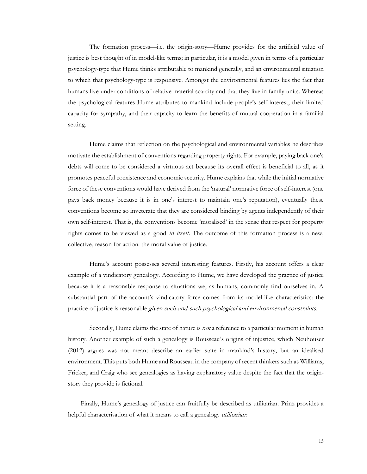The formation process—i.e. the origin-story—Hume provides for the artificial value of justice is best thought of in model-like terms; in particular, it is a model given in terms of a particular psychology-type that Hume thinks attributable to mankind generally, and an environmental situation to which that psychology-type is responsive. Amongst the environmental features lies the fact that humans live under conditions of relative material scarcity and that they live in family units. Whereas the psychological features Hume attributes to mankind include people's self-interest, their limited capacity for sympathy, and their capacity to learn the benefits of mutual cooperation in a familial setting.

Hume claims that reflection on the psychological and environmental variables he describes motivate the establishment of conventions regarding property rights. For example, paying back one's debts will come to be considered a virtuous act because its overall effect is beneficial to all, as it promotes peaceful coexistence and economic security. Hume explains that while the initial normative force of these conventions would have derived from the 'natural' normative force of self-interest (one pays back money because it is in one's interest to maintain one's reputation), eventually these conventions become so inveterate that they are considered binding by agents independently of their own self-interest. That is, the conventions become 'moralised' in the sense that respect for property rights comes to be viewed as a good *in itself*. The outcome of this formation process is a new, collective, reason for action: the moral value of justice.

Hume's account possesses several interesting features. Firstly, his account offers a clear example of a vindicatory genealogy. According to Hume, we have developed the practice of justice because it is a reasonable response to situations we, as humans, commonly find ourselves in. A substantial part of the account's vindicatory force comes from its model-like characteristics: the practice of justice is reasonable given such-and-such psychological and environmental constraints.

Secondly, Hume claims the state of nature is *not* a reference to a particular moment in human history. Another example of such a genealogy is Rousseau's origins of injustice, which Neuhouser (2012) argues was not meant describe an earlier state in mankind's history, but an idealised environment. This puts both Hume and Rousseau in the company of recent thinkers such as Williams, Fricker, and Craig who see genealogies as having explanatory value despite the fact that the originstory they provide is fictional.

Finally, Hume's genealogy of justice can fruitfully be described as utilitarian. Prinz provides a helpful characterisation of what it means to call a genealogy utilitarian: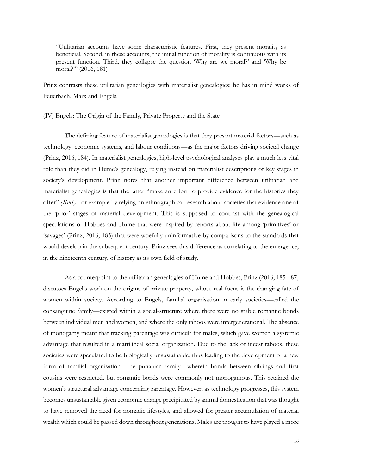"Utilitarian accounts have some characteristic features. First, they present morality as beneficial. Second, in these accounts, the initial function of morality is continuous with its present function. Third, they collapse the question 'Why are we moral?' and 'Why be moral?"" (2016, 181)

Prinz contrasts these utilitarian genealogies with materialist genealogies; he has in mind works of Feuerbach, Marx and Engels.

### (IV) Engels: The Origin of the Family, Private Property and the State

The defining feature of materialist genealogies is that they present material factors—such as technology, economic systems, and labour conditions—as the major factors driving societal change (Prinz, 2016, 184). In materialist genealogies, high-level psychological analyses play a much less vital role than they did in Hume's genealogy, relying instead on materialist descriptions of key stages in society's development. Prinz notes that another important difference between utilitarian and materialist genealogies is that the latter "make an effort to provide evidence for the histories they offer" (Ibid.), for example by relying on ethnographical research about societies that evidence one of the 'prior' stages of material development. This is supposed to contrast with the genealogical speculations of Hobbes and Hume that were inspired by reports about life among 'primitives' or 'savages' (Prinz, 2016, 185) that were woefully uninformative by comparisons to the standards that would develop in the subsequent century. Prinz sees this difference as correlating to the emergence, in the nineteenth century, of history as its own field of study.

As a counterpoint to the utilitarian genealogies of Hume and Hobbes, Prinz (2016, 185-187) discusses Engel's work on the origins of private property, whose real focus is the changing fate of women within society. According to Engels, familial organisation in early societies—called the consanguine family—existed within a social-structure where there were no stable romantic bonds between individual men and women, and where the only taboos were intergenerational. The absence of monogamy meant that tracking parentage was difficult for males, which gave women a systemic advantage that resulted in a matrilineal social organization. Due to the lack of incest taboos, these societies were speculated to be biologically unsustainable, thus leading to the development of a new form of familial organisation—the punaluan family—wherein bonds between siblings and first cousins were restricted, but romantic bonds were commonly not monogamous. This retained the women's structural advantage concerning parentage. However, as technology progresses, this system becomes unsustainable given economic change precipitated by animal domestication that was thought to have removed the need for nomadic lifestyles, and allowed for greater accumulation of material wealth which could be passed down throughout generations. Males are thought to have played a more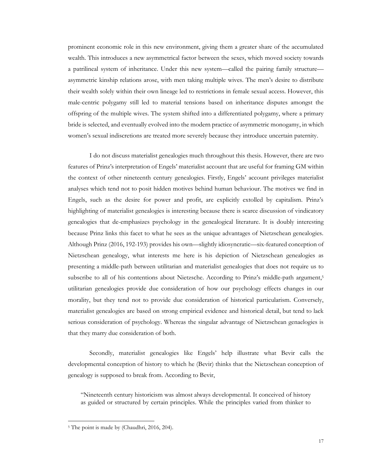prominent economic role in this new environment, giving them a greater share of the accumulated wealth. This introduces a new asymmetrical factor between the sexes, which moved society towards a patrilineal system of inheritance. Under this new system—called the pairing family structure asymmetric kinship relations arose, with men taking multiple wives. The men's desire to distribute their wealth solely within their own lineage led to restrictions in female sexual access. However, this male-centric polygamy still led to material tensions based on inheritance disputes amongst the offspring of the multiple wives. The system shifted into a differentiated polygamy, where a primary bride is selected, and eventually evolved into the modern practice of asymmetric monogamy, in which women's sexual indiscretions are treated more severely because they introduce uncertain paternity.

I do not discuss materialist genealogies much throughout this thesis. However, there are two features of Prinz's interpretation of Engels' materialist account that are useful for framing GM within the context of other nineteenth century genealogies. Firstly, Engels' account privileges materialist analyses which tend not to posit hidden motives behind human behaviour. The motives we find in Engels, such as the desire for power and profit, are explicitly extolled by capitalism. Prinz's highlighting of materialist genealogies is interesting because there is scarce discussion of vindicatory genealogies that de-emphasizes psychology in the genealogical literature. It is doubly interesting because Prinz links this facet to what he sees as the unique advantages of Nietzschean genealogies. Although Prinz (2016, 192-193) provides his own—slightly idiosyncratic—six-featured conception of Nietzschean genealogy, what interests me here is his depiction of Nietzschean genealogies as presenting a middle-path between utilitarian and materialist genealogies that does not require us to subscribe to all of his contentions about Nietzsche. According to Prinz's middle-path argument,<sup>5</sup> utilitarian genealogies provide due consideration of how our psychology effects changes in our morality, but they tend not to provide due consideration of historical particularism. Conversely, materialist genealogies are based on strong empirical evidence and historical detail, but tend to lack serious consideration of psychology. Whereas the singular advantage of Nietzschean genaelogies is that they marry due consideration of both.

Secondly, materialist genealogies like Engels' help illustrate what Bevir calls the developmental conception of history to which he (Bevir) thinks that the Nietzschean conception of genealogy is supposed to break from. According to Bevir,

"Nineteenth century historicism was almost always developmental. It conceived of history as guided or structured by certain principles. While the principles varied from thinker to

<sup>&</sup>lt;sup>5</sup> The point is made by (Chaudhri, 2016, 204).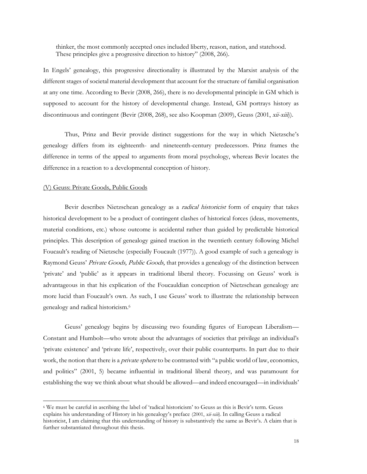thinker, the most commonly accepted ones included liberty, reason, nation, and statehood. These principles give a progressive direction to history" (2008, 266).

In Engels' genealogy, this progressive directionality is illustrated by the Marxist analysis of the different stages of societal material development that account for the structure of familial organisation at any one time. According to Bevir (2008, 266), there is no developmental principle in GM which is supposed to account for the history of developmental change. Instead, GM portrays history as discontinuous and contingent (Bevir (2008, 268), see also Koopman (2009), Geuss (2001, xii-xiii)).

Thus, Prinz and Bevir provide distinct suggestions for the way in which Nietzsche's genealogy differs from its eighteenth- and nineteenth-century predecessors. Prinz frames the difference in terms of the appeal to arguments from moral psychology, whereas Bevir locates the difference in a reaction to a developmental conception of history.

### (V) Geuss: Private Goods, Public Goods

Bevir describes Nietzschean genealogy as a *radical historicist* form of enquiry that takes historical development to be a product of contingent clashes of historical forces (ideas, movements, material conditions, etc.) whose outcome is accidental rather than guided by predictable historical principles. This description of genealogy gained traction in the twentieth century following Michel Foucault's reading of Nietzsche (especially Foucault (1977)). A good example of such a genealogy is Raymond Geuss' Private Goods, Public Goods, that provides a genealogy of the distinction between 'private' and 'public' as it appears in traditional liberal theory. Focussing on Geuss' work is advantageous in that his explication of the Foucauldian conception of Nietzschean genealogy are more lucid than Foucault's own. As such, I use Geuss' work to illustrate the relationship between genealogy and radical historicism.<sup>6</sup>

Geuss' genealogy begins by discussing two founding figures of European Liberalism— Constant and Humbolt—who wrote about the advantages of societies that privilege an individual's 'private existence' and 'private life', respectively, over their public counterparts. In part due to their work, the notion that there is a *private sphere* to be contrasted with "a public world of law, economics, and politics" (2001, 5) became influential in traditional liberal theory, and was paramount for establishing the way we think about what should be allowed—and indeed encouraged—in individuals'

<sup>6</sup> We must be careful in ascribing the label of 'radical historicism' to Geuss as this is Bevir's term. Geuss explains his understanding of History in his genealogy's preface (2001, xii-xiii). In calling Geuss a radical historicist, I am claiming that this understanding of history is substantively the same as Bevir's. A claim that is further substantiated throughout this thesis.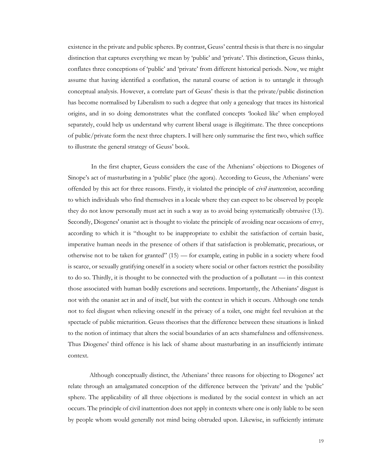existence in the private and public spheres. By contrast, Geuss' central thesis is that there is no singular distinction that captures everything we mean by 'public' and 'private'. This distinction, Geuss thinks, conflates three conceptions of 'public' and 'private' from different historical periods. Now, we might assume that having identified a conflation, the natural course of action is to untangle it through conceptual analysis. However, a correlate part of Geuss' thesis is that the private/public distinction has become normalised by Liberalism to such a degree that only a genealogy that traces its historical origins, and in so doing demonstrates what the conflated concepts 'looked like' when employed separately, could help us understand why current liberal usage is illegitimate. The three conceptions of public/private form the next three chapters. I will here only summarise the first two, which suffice to illustrate the general strategy of Geuss' book.

In the first chapter, Geuss considers the case of the Athenians' objections to Diogenes of Sinope's act of masturbating in a 'public' place (the agora). According to Geuss, the Athenians' were offended by this act for three reasons. Firstly, it violated the principle of civil inattention, according to which individuals who find themselves in a locale where they can expect to be observed by people they do not know personally must act in such a way as to avoid being systematically obtrusive (13). Secondly, Diogenes' onanist act is thought to violate the principle of avoiding near occasions of envy, according to which it is "thought to be inappropriate to exhibit the satisfaction of certain basic, imperative human needs in the presence of others if that satisfaction is problematic, precarious, or otherwise not to be taken for granted" (15) — for example, eating in public in a society where food is scarce, or sexually gratifying oneself in a society where social or other factors restrict the possibility to do so. Thirdly, it is thought to be connected with the production of a pollutant — in this context those associated with human bodily excretions and secretions. Importantly, the Athenians' disgust is not with the onanist act in and of itself, but with the context in which it occurs. Although one tends not to feel disgust when relieving oneself in the privacy of a toilet, one might feel revulsion at the spectacle of public micturition. Geuss theorises that the difference between these situations is linked to the notion of intimacy that alters the social boundaries of an acts shamefulness and offensiveness. Thus Diogenes' third offence is his lack of shame about masturbating in an insufficiently intimate context.

Although conceptually distinct, the Athenians' three reasons for objecting to Diogenes' act relate through an amalgamated conception of the difference between the 'private' and the 'public' sphere. The applicability of all three objections is mediated by the social context in which an act occurs. The principle of civil inattention does not apply in contexts where one is only liable to be seen by people whom would generally not mind being obtruded upon. Likewise, in sufficiently intimate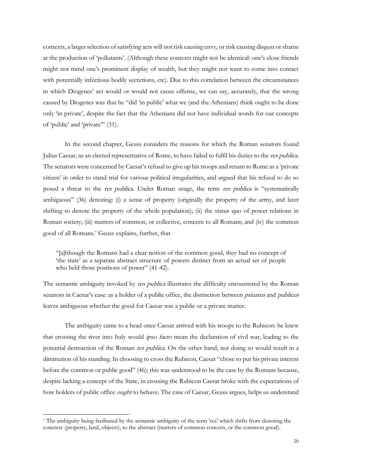contexts, a larger selection of satisfying acts will not risk causing envy, or risk causing disgust or shame at the production of 'pollutants'. (Although these contexts might not be identical: one's close friends might not mind one's prominent display of wealth, but they might not want to come into contact with potentially infectious bodily secretions, etc). Due to this correlation between the circumstances in which Diogenes' act would or would not cause offense, we can say, accurately, that the wrong caused by Diogenes was that he "did 'in public' what we (and the Athenians) think ought to be done only 'in private', despite the fact that the Athenians did not have individual words for our concepts of 'public' and 'private'" (31).

In the second chapter, Geuss considers the reasons for which the Roman senators found Julius Caesar, as an elected representative of Rome, to have failed to fulfil his duties to the res publica. The senators were concerned by Caesar's refusal to give up his troops and return to Rome as a 'private citizen' in order to stand trial for various political irregularities, and argued that his refusal to do so posed a threat to the res publica. Under Roman usage, the term res publica is "systematically ambiguous" (36) denoting: (i) a sense of property (originally the property of the army, and later shifting to denote the property of the whole population); (ii) the status quo of power relations in Roman society; (iii) matters of common, or collective, concern to all Romans; and (iv) the common good of all Romans.<sup>7</sup> Geuss explains, further, that

"[a]lthough the Romans had a clear notion of the common good, they had no concept of 'the state' as a separate abstract structure of powers distinct from an actual set of people who held those positions of power" (41-42).

The semantic ambiguity invoked by *res publica* illustrates the difficulty encountered by the Roman senators in Caesar's case: as a holder of a public office, the distinction between *priuatus* and *publicus* leaves ambiguous whether the good for Caesar was a public or a private matter.

The ambiguity came to a head once Caesar arrived with his troops to the Rubicon: he knew that crossing the river into Italy would ipso facto mean the declaration of civil war, leading to the potential destruction of the Roman res publica. On the other hand, not doing so would result in a diminution of his standing. In choosing to cross the Rubicon, Caesar "chose to put his private interest before the common or public good" (46); this was understood to be the case by the Romans because, despite lacking a concept of the State, in crossing the Rubicon Caesar broke with the expectations of how holders of public office *ought* to behave. The case of Caesar, Geuss argues, helps us understand

<sup>7</sup> The ambiguity being facilitated by the semantic ambiguity of the term 'res' which shifts from denoting the concrete (property, land, objects), to the abstract (matters of common concern, or the common good).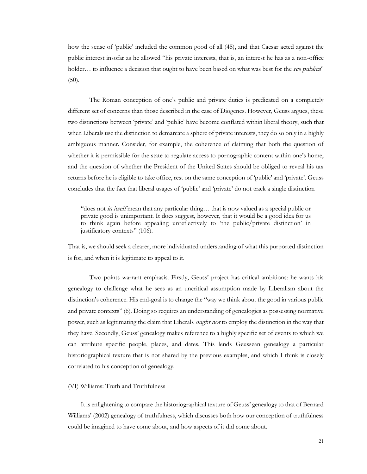how the sense of 'public' included the common good of all (48), and that Caesar acted against the public interest insofar as he allowed "his private interests, that is, an interest he has as a non-office holder... to influence a decision that ought to have been based on what was best for the res publica" (50).

The Roman conception of one's public and private duties is predicated on a completely different set of concerns than those described in the case of Diogenes. However, Geuss argues, these two distinctions between 'private' and 'public' have become conflated within liberal theory, such that when Liberals use the distinction to demarcate a sphere of private interests, they do so only in a highly ambiguous manner. Consider, for example, the coherence of claiming that both the question of whether it is permissible for the state to regulate access to pornographic content within one's home, and the question of whether the President of the United States should be obliged to reveal his tax returns before he is eligible to take office, rest on the same conception of 'public' and 'private'. Geuss concludes that the fact that liberal usages of 'public' and 'private' do not track a single distinction

"does not in itself mean that any particular thing… that is now valued as a special public or private good is unimportant. It does suggest, however, that it would be a good idea for us to think again before appealing unreflectively to 'the public/private distinction' in justificatory contexts" (106).

That is, we should seek a clearer, more individuated understanding of what this purported distinction is for, and when it is legitimate to appeal to it.

Two points warrant emphasis. Firstly, Geuss' project has critical ambitions: he wants his genealogy to challenge what he sees as an uncritical assumption made by Liberalism about the distinction's coherence. His end-goal is to change the "way we think about the good in various public and private contexts" (6). Doing so requires an understanding of genealogies as possessing normative power, such as legitimating the claim that Liberals *ought not* to employ the distinction in the way that they have. Secondly, Geuss' genealogy makes reference to a highly specific set of events to which we can attribute specific people, places, and dates. This lends Geussean genealogy a particular historiographical texture that is not shared by the previous examples, and which I think is closely correlated to his conception of genealogy.

### (VI) Williams: Truth and Truthfulness

It is enlightening to compare the historiographical texture of Geuss' genealogy to that of Bernard Williams' (2002) genealogy of truthfulness, which discusses both how our conception of truthfulness could be imagined to have come about, and how aspects of it did come about.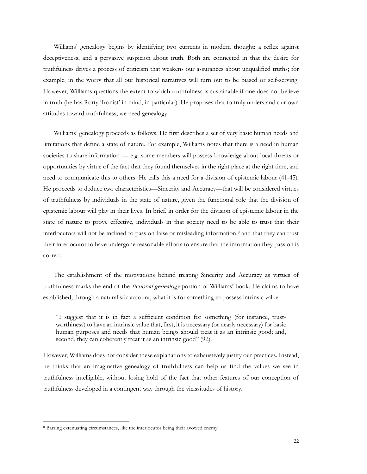Williams' genealogy begins by identifying two currents in modern thought: a reflex against deceptiveness, and a pervasive suspicion about truth. Both are connected in that the desire for truthfulness drives a process of criticism that weakens our assurances about unqualified truths; for example, in the worry that all our historical narratives will turn out to be biased or self-serving. However, Williams questions the extent to which truthfulness is sustainable if one does not believe in truth (he has Rorty 'Ironist' in mind, in particular). He proposes that to truly understand our own attitudes toward truthfulness, we need genealogy.

Williams' genealogy proceeds as follows. He first describes a set of very basic human needs and limitations that define a state of nature. For example, Williams notes that there is a need in human societies to share information — e.g. some members will possess knowledge about local threats or opportunities by virtue of the fact that they found themselves in the right place at the right time, and need to communicate this to others. He calls this a need for a division of epistemic labour (41-45). He proceeds to deduce two characteristics—Sincerity and Accuracy—that will be considered virtues of truthfulness by individuals in the state of nature, given the functional role that the division of epistemic labour will play in their lives. In brief, in order for the division of epistemic labour in the state of nature to prove effective, individuals in that society need to be able to trust that their interlocutors will not be inclined to pass on false or misleading information,<sup>8</sup> and that they can trust their interlocutor to have undergone reasonable efforts to ensure that the information they pass on is correct.

The establishment of the motivations behind treating Sincerity and Accuracy as virtues of truthfulness marks the end of the fictional genealogy portion of Williams' book. He claims to have established, through a naturalistic account, what it is for something to possess intrinsic value:

"I suggest that it is in fact a sufficient condition for something (for instance, trustworthiness) to have an intrinsic value that, first, it is necessary (or nearly necessary) for basic human purposes and needs that human beings should treat it as an intrinsic good; and, second, they can coherently treat it as an intrinsic good" (92).

However, Williams does not consider these explanations to exhaustively justify our practices. Instead, he thinks that an imaginative genealogy of truthfulness can help us find the values we see in truthfulness intelligible, without losing hold of the fact that other features of our conception of truthfulness developed in a contingent way through the vicissitudes of history.

<sup>8</sup> Barring extenuating circumstances, like the interlocutor being their avowed enemy.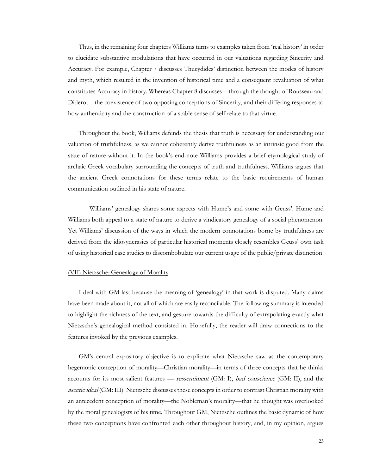Thus, in the remaining four chapters Williams turns to examples taken from 'real history' in order to elucidate substantive modulations that have occurred in our valuations regarding Sincerity and Accuracy. For example, Chapter 7 discusses Thucydides' distinction between the modes of history and myth, which resulted in the invention of historical time and a consequent revaluation of what constitutes Accuracy in history. Whereas Chapter 8 discusses—through the thought of Rousseau and Diderot—the coexistence of two opposing conceptions of Sincerity, and their differing responses to how authenticity and the construction of a stable sense of self relate to that virtue.

Throughout the book, Williams defends the thesis that truth is necessary for understanding our valuation of truthfulness, as we cannot coherently derive truthfulness as an intrinsic good from the state of nature without it. In the book's end-note Williams provides a brief etymological study of archaic Greek vocabulary surrounding the concepts of truth and truthfulness. Williams argues that the ancient Greek connotations for these terms relate to the basic requirements of human communication outlined in his state of nature.

Williams' genealogy shares some aspects with Hume's and some with Geuss'. Hume and Williams both appeal to a state of nature to derive a vindicatory genealogy of a social phenomenon. Yet Williams' discussion of the ways in which the modern connotations borne by truthfulness are derived from the idiosyncrasies of particular historical moments closely resembles Geuss' own task of using historical case studies to discombobulate our current usage of the public/private distinction.

#### (VII) Nietzsche: Genealogy of Morality

I deal with GM last because the meaning of 'genealogy' in that work is disputed. Many claims have been made about it, not all of which are easily reconcilable. The following summary is intended to highlight the richness of the text, and gesture towards the difficulty of extrapolating exactly what Nietzsche's genealogical method consisted in. Hopefully, the reader will draw connections to the features invoked by the previous examples.

GM's central expository objective is to explicate what Nietzsche saw as the contemporary hegemonic conception of morality—Christian morality—in terms of three concepts that he thinks accounts for its most salient features — ressentiment (GM: I), bad conscience (GM: II), and the ascetic ideal (GM: III). Nietzsche discusses these concepts in order to contrast Christian morality with an antecedent conception of morality—the Nobleman's morality—that he thought was overlooked by the moral genealogists of his time. Throughout GM, Nietzsche outlines the basic dynamic of how these two conceptions have confronted each other throughout history, and, in my opinion, argues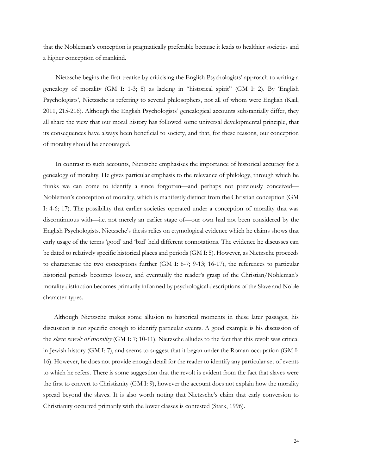that the Nobleman's conception is pragmatically preferable because it leads to healthier societies and a higher conception of mankind.

Nietzsche begins the first treatise by criticising the English Psychologists' approach to writing a genealogy of morality (GM I: 1-3; 8) as lacking in "historical spirit" (GM I: 2). By 'English Psychologists', Nietzsche is referring to several philosophers, not all of whom were English (Kail, 2011, 215-216). Although the English Psychologists' genealogical accounts substantially differ, they all share the view that our moral history has followed some universal developmental principle, that its consequences have always been beneficial to society, and that, for these reasons, our conception of morality should be encouraged.

In contrast to such accounts, Nietzsche emphasises the importance of historical accuracy for a genealogy of morality. He gives particular emphasis to the relevance of philology, through which he thinks we can come to identify a since forgotten—and perhaps not previously conceived— Nobleman's conception of morality, which is manifestly distinct from the Christian conception (GM I: 4-6; 17). The possibility that earlier societies operated under a conception of morality that was discontinuous with—i.e. not merely an earlier stage of—our own had not been considered by the English Psychologists. Nietzsche's thesis relies on etymological evidence which he claims shows that early usage of the terms 'good' and 'bad' held different connotations. The evidence he discusses can be dated to relatively specific historical places and periods (GM I: 5). However, as Nietzsche proceeds to characterise the two conceptions further (GM I: 6-7; 9-13; 16-17), the references to particular historical periods becomes looser, and eventually the reader's grasp of the Christian/Nobleman's morality distinction becomes primarily informed by psychological descriptions of the Slave and Noble character-types.

Although Nietzsche makes some allusion to historical moments in these later passages, his discussion is not specific enough to identify particular events. A good example is his discussion of the slave revolt of morality (GM I: 7; 10-11). Nietzsche alludes to the fact that this revolt was critical in Jewish history (GM I: 7), and seems to suggest that it began under the Roman occupation (GM I: 16). However, he does not provide enough detail for the reader to identify any particular set of events to which he refers. There is some suggestion that the revolt is evident from the fact that slaves were the first to convert to Christianity (GM I: 9), however the account does not explain how the morality spread beyond the slaves. It is also worth noting that Nietzsche's claim that early conversion to Christianity occurred primarily with the lower classes is contested (Stark, 1996).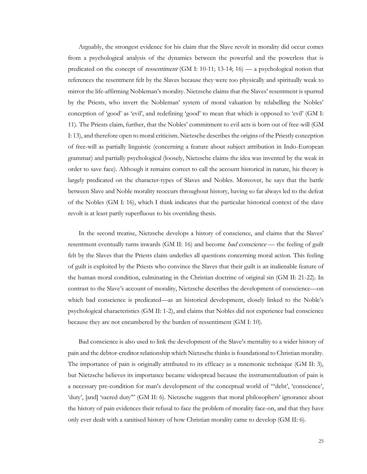Arguably, the strongest evidence for his claim that the Slave revolt in morality did occur comes from a psychological analysis of the dynamics between the powerful and the powerless that is predicated on the concept of ressentiment (GM I: 10-11; 13-14; 16) — a psychological notion that references the resentment felt by the Slaves because they were too physically and spiritually weak to mirror the life-affirming Nobleman's morality. Nietzsche claims that the Slaves' resentment is spurred by the Priests, who invert the Nobleman' system of moral valuation by relabelling the Nobles' conception of 'good' as 'evil', and redefining 'good' to mean that which is opposed to 'evil' (GM I: 11). The Priests claim, further, that the Nobles' commitment to evil acts is born out of free-will (GM I: 13), and therefore open to moral criticism. Nietzsche describes the origins of the Priestly conception of free-will as partially linguistic (concerning a feature about subject attribution in Indo-European grammar) and partially psychological (loosely, Nietzsche claims the idea was invented by the weak in order to save face). Although it remains correct to call the account historical in nature, his theory is largely predicated on the character-types of Slaves and Nobles. Moreover, he says that the battle between Slave and Noble morality reoccurs throughout history, having so far always led to the defeat of the Nobles (GM I: 16), which I think indicates that the particular historical context of the slave revolt is at least partly superfluous to his overriding thesis.

In the second treatise, Nietzsche develops a history of conscience, and claims that the Slaves' resentment eventually turns inwards (GM II: 16) and become *bad conscience* — the feeling of guilt felt by the Slaves that the Priests claim underlies all questions concerning moral action. This feeling of guilt is exploited by the Priests who convince the Slaves that their guilt is an inalienable feature of the human moral condition, culminating in the Christian doctrine of original sin (GM II: 21-22). In contrast to the Slave's account of morality, Nietzsche describes the development of conscience—on which bad conscience is predicated—as an historical development, closely linked to the Noble's psychological characteristics (GM II: 1-2), and claims that Nobles did not experience bad conscience because they are not encumbered by the burden of ressentiment (GM I: 10).

Bad conscience is also used to link the development of the Slave's mentality to a wider history of pain and the debtor-creditor relationship which Nietzsche thinks is foundational to Christian morality. The importance of pain is originally attributed to its efficacy as a mnemonic technique (GM II: 3), but Nietzsche believes its importance became widespread because the instrumentalization of pain is a necessary pre-condition for man's development of the conceptual world of "'debt', 'conscience', 'duty', [and] 'sacred duty'" (GM II: 6). Nietzsche suggests that moral philosophers' ignorance about the history of pain evidences their refusal to face the problem of morality face-on, and that they have only ever dealt with a sanitised history of how Christian morality came to develop (GM II: 6).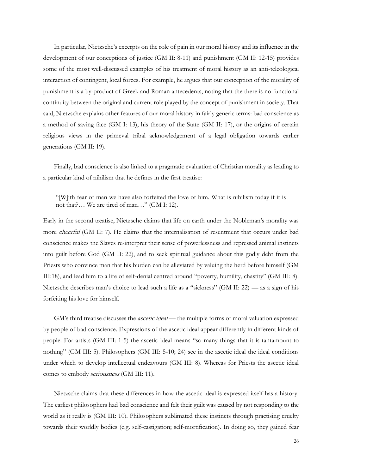In particular, Nietzsche's excerpts on the role of pain in our moral history and its influence in the development of our conceptions of justice (GM II: 8-11) and punishment (GM II: 12-15) provides some of the most well-discussed examples of his treatment of moral history as an anti-teleological interaction of contingent, local forces. For example, he argues that our conception of the morality of punishment is a by-product of Greek and Roman antecedents, noting that the there is no functional continuity between the original and current role played by the concept of punishment in society. That said, Nietzsche explains other features of our moral history in fairly generic terms: bad conscience as a method of saving face (GM I: 13), his theory of the State (GM II: 17), or the origins of certain religious views in the primeval tribal acknowledgement of a legal obligation towards earlier generations (GM II: 19).

Finally, bad conscience is also linked to a pragmatic evaluation of Christian morality as leading to a particular kind of nihilism that he defines in the first treatise:

"[W]ith fear of man we have also forfeited the love of him. What is nihilism today if it is not that?… We are tired of man…" (GM I: 12).

Early in the second treatise, Nietzsche claims that life on earth under the Nobleman's morality was more *cheerful* (GM II: 7). He claims that the internalisation of resentment that occurs under bad conscience makes the Slaves re-interpret their sense of powerlessness and repressed animal instincts into guilt before God (GM II: 22), and to seek spiritual guidance about this godly debt from the Priests who convince man that his burden can be alleviated by valuing the herd before himself (GM III:18), and lead him to a life of self-denial centred around "poverty, humility, chastity" (GM III: 8). Nietzsche describes man's choice to lead such a life as a "sickness" (GM II: 22) — as a sign of his forfeiting his love for himself.

GM's third treatise discusses the *ascetic ideal* — the multiple forms of moral valuation expressed by people of bad conscience. Expressions of the ascetic ideal appear differently in different kinds of people. For artists (GM III: 1-5) the ascetic ideal means "so many things that it is tantamount to nothing" (GM III: 5). Philosophers (GM III: 5-10; 24) see in the ascetic ideal the ideal conditions under which to develop intellectual endeavours (GM III: 8). Whereas for Priests the ascetic ideal comes to embody seriousness (GM III: 11).

Nietzsche claims that these differences in how the ascetic ideal is expressed itself has a history. The earliest philosophers had bad conscience and felt their guilt was caused by not responding to the world as it really is (GM III: 10). Philosophers sublimated these instincts through practising cruelty towards their worldly bodies (e.g. self-castigation; self-mortification). In doing so, they gained fear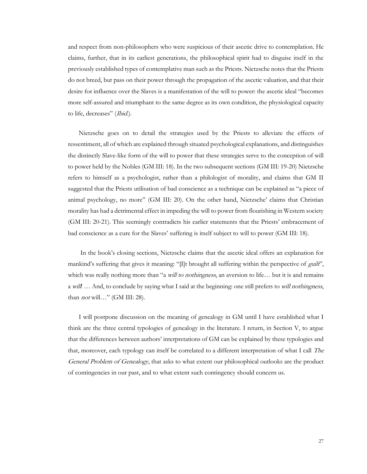and respect from non-philosophers who were suspicious of their ascetic drive to contemplation. He claims, further, that in its earliest generations, the philosophical spirit had to disguise itself in the previously established types of contemplative man such as the Priests. Nietzsche notes that the Priests do not breed, but pass on their power through the propagation of the ascetic valuation, and that their desire for influence over the Slaves is a manifestation of the will to power: the ascetic ideal "becomes more self-assured and triumphant to the same degree as its own condition, the physiological capacity to life, decreases" (Ibid.).

Nietzsche goes on to detail the strategies used by the Priests to alleviate the effects of ressentiment, all of which are explained through situated psychological explanations, and distinguishes the distinctly Slave-like form of the will to power that these strategies serve to the conception of will to power held by the Nobles (GM III: 18). In the two subsequent sections (GM III: 19-20) Nietzsche refers to himself as a psychologist, rather than a philologist of morality, and claims that GM II suggested that the Priests utilisation of bad conscience as a technique can be explained as "a piece of animal psychology, no more" (GM III: 20). On the other hand, Nietzsche' claims that Christian morality has had a detrimental effect in impeding the will to power from flourishing in Western society (GM III: 20-21). This seemingly contradicts his earlier statements that the Priests' embracement of bad conscience as a cure for the Slaves' suffering is itself subject to will to power (GM III: 18).

In the book's closing sections, Nietzsche claims that the ascetic ideal offers an explanation for mankind's suffering that gives it meaning: " $\Pi$ t brought all suffering within the perspective of *guilt*", which was really nothing more than "a will to nothingness, an aversion to life... but it is and remains a will ... And, to conclude by saying what I said at the beginning: one still prefers to will nothingness, than *not* will..." (GM III: 28).

<span id="page-26-0"></span>I will postpone discussion on the meaning of genealogy in GM until I have established what I think are the three central typologies of genealogy in the literature. I return, in Section V, to argue that the differences between authors' interpretations of GM can be explained by these typologies and that, moreover, each typology can itself be correlated to a different interpretation of what I call The General Problem of Genealogy, that asks to what extent our philosophical outlooks are the product of contingencies in our past, and to what extent such contingency should concern us.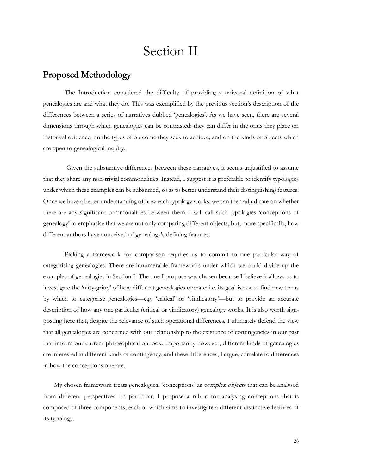## Section II

### <span id="page-27-0"></span>Proposed Methodology

The Introduction considered the difficulty of providing a univocal definition of what genealogies are and what they do. This was exemplified by the previous section's description of the differences between a series of narratives dubbed 'genealogies'. As we have seen, there are several dimensions through which genealogies can be contrasted: they can differ in the onus they place on historical evidence; on the types of outcome they seek to achieve; and on the kinds of objects which are open to genealogical inquiry.

Given the substantive differences between these narratives, it seems unjustified to assume that they share any non-trivial commonalities. Instead, I suggest it is preferable to identify typologies under which these examples can be subsumed, so as to better understand their distinguishing features. Once we have a better understanding of how each typology works, we can then adjudicate on whether there are any significant commonalities between them. I will call such typologies 'conceptions of genealogy' to emphasise that we are not only comparing different objects, but, more specifically, how different authors have conceived of genealogy's defining features.

Picking a framework for comparison requires us to commit to one particular way of categorising genealogies. There are innumerable frameworks under which we could divide up the examples of genealogies in Section I. The one I propose was chosen because I believe it allows us to investigate the 'nitty-gritty' of how different genealogies operate; i.e. its goal is not to find new terms by which to categorise genealogies—e.g. 'critical' or 'vindicatory'—but to provide an accurate description of how any one particular (critical or vindicatory) genealogy works. It is also worth signposting here that, despite the relevance of such operational differences, I ultimately defend the view that all genealogies are concerned with our relationship to the existence of contingencies in our past that inform our current philosophical outlook. Importantly however, different kinds of genealogies are interested in different kinds of contingency, and these differences, I argue, correlate to differences in how the conceptions operate.

My chosen framework treats genealogical 'conceptions' as *complex objects* that can be analysed from different perspectives. In particular, I propose a rubric for analysing conceptions that is composed of three components, each of which aims to investigate a different distinctive features of its typology.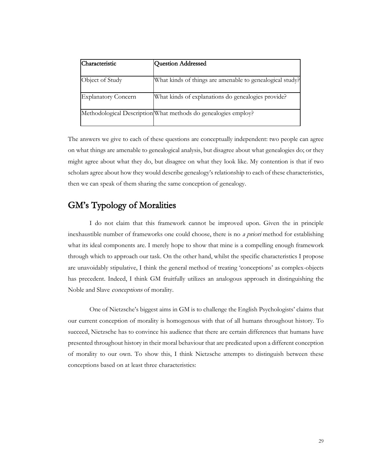| lCharacteristic            | Question Addressed                                             |
|----------------------------|----------------------------------------------------------------|
| Object of Study            | What kinds of things are amenable to genealogical study?       |
| <b>Explanatory Concern</b> | What kinds of explanations do genealogies provide?             |
|                            | Methodological Description What methods do genealogies employ? |

The answers we give to each of these questions are conceptually independent: two people can agree on what things are amenable to genealogical analysis, but disagree about what genealogies do; or they might agree about what they do, but disagree on what they look like. My contention is that if two scholars agree about how they would describe genealogy's relationship to each of these characteristics, then we can speak of them sharing the same conception of genealogy.

### <span id="page-28-0"></span>GM's Typology of Moralities

I do not claim that this framework cannot be improved upon. Given the in principle inexhaustible number of frameworks one could choose, there is no a priori method for establishing what its ideal components are. I merely hope to show that mine is a compelling enough framework through which to approach our task. On the other hand, whilst the specific characteristics I propose are unavoidably stipulative, I think the general method of treating 'conceptions' as complex-objects has precedent. Indeed, I think GM fruitfully utilizes an analogous approach in distinguishing the Noble and Slave conceptions of morality.

One of Nietzsche's biggest aims in GM is to challenge the English Psychologists' claims that our current conception of morality is homogenous with that of all humans throughout history. To succeed, Nietzsche has to convince his audience that there are certain differences that humans have presented throughout history in their moral behaviour that are predicated upon a different conception of morality to our own. To show this, I think Nietzsche attempts to distinguish between these conceptions based on at least three characteristics: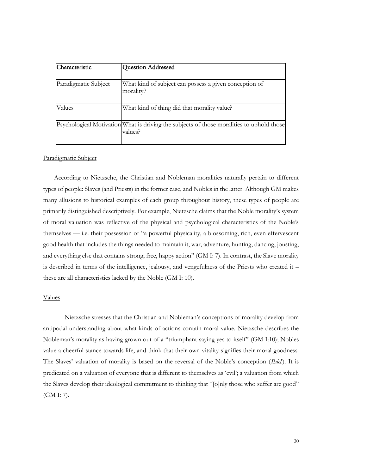| Characteristic       | Question Addressed                                                                                   |
|----------------------|------------------------------------------------------------------------------------------------------|
| Paradigmatic Subject | What kind of subject can possess a given conception of<br>morality?                                  |
| Values               | What kind of thing did that morality value?                                                          |
|                      | Psychological Motivation What is driving the subjects of those moralities to uphold those<br>values? |

### Paradigmatic Subject

According to Nietzsche, the Christian and Nobleman moralities naturally pertain to different types of people: Slaves (and Priests) in the former case, and Nobles in the latter. Although GM makes many allusions to historical examples of each group throughout history, these types of people are primarily distinguished descriptively. For example, Nietzsche claims that the Noble morality's system of moral valuation was reflective of the physical and psychological characteristics of the Noble's themselves — i.e. their possession of "a powerful physicality, a blossoming, rich, even effervescent good health that includes the things needed to maintain it, war, adventure, hunting, dancing, jousting, and everything else that contains strong, free, happy action" (GM I: 7). In contrast, the Slave morality is described in terms of the intelligence, jealousy, and vengefulness of the Priests who created it – these are all characteristics lacked by the Noble (GM I: 10).

### Values

Nietzsche stresses that the Christian and Nobleman's conceptions of morality develop from antipodal understanding about what kinds of actions contain moral value. Nietzsche describes the Nobleman's morality as having grown out of a "triumphant saying yes to itself" (GM I:10); Nobles value a cheerful stance towards life, and think that their own vitality signifies their moral goodness. The Slaves' valuation of morality is based on the reversal of the Noble's conception (Ibid.). It is predicated on a valuation of everyone that is different to themselves as 'evil'; a valuation from which the Slaves develop their ideological commitment to thinking that "[o]nly those who suffer are good" (GM I: 7).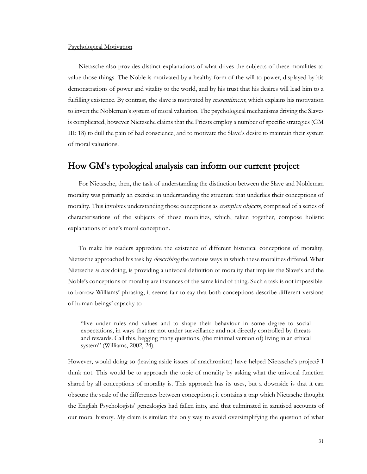#### Psychological Motivation

Nietzsche also provides distinct explanations of what drives the subjects of these moralities to value those things. The Noble is motivated by a healthy form of the will to power, displayed by his demonstrations of power and vitality to the world, and by his trust that his desires will lead him to a fulfilling existence. By contrast, the slave is motivated by *ressentiment*, which explains his motivation to invert the Nobleman's system of moral valuation. The psychological mechanisms driving the Slaves is complicated, however Nietzsche claims that the Priests employ a number of specific strategies (GM III: 18) to dull the pain of bad conscience, and to motivate the Slave's desire to maintain their system of moral valuations.

### <span id="page-30-0"></span>How GM's typological analysis can inform our current project

For Nietzsche, then, the task of understanding the distinction between the Slave and Nobleman morality was primarily an exercise in understanding the structure that underlies their conceptions of morality. This involves understanding those conceptions as *complex objects*, comprised of a series of characterisations of the subjects of those moralities, which, taken together, compose holistic explanations of one's moral conception.

To make his readers appreciate the existence of different historical conceptions of morality, Nietzsche approached his task by *describing* the various ways in which these moralities differed. What Nietzsche is not doing, is providing a univocal definition of morality that implies the Slave's and the Noble's conceptions of morality are instances of the same kind of thing. Such a task is not impossible: to borrow Williams' phrasing, it seems fair to say that both conceptions describe different versions of human-beings' capacity to

"live under rules and values and to shape their behaviour in some degree to social expectations, in ways that are not under surveillance and not directly controlled by threats and rewards. Call this, begging many questions, (the minimal version of) living in an ethical system" (Williams, 2002, 24).

However, would doing so (leaving aside issues of anachronism) have helped Nietzsche's project? I think not. This would be to approach the topic of morality by asking what the univocal function shared by all conceptions of morality is. This approach has its uses, but a downside is that it can obscure the scale of the differences between conceptions; it contains a trap which Nietzsche thought the English Psychologists' genealogies had fallen into, and that culminated in sanitised accounts of our moral history. My claim is similar: the only way to avoid oversimplifying the question of what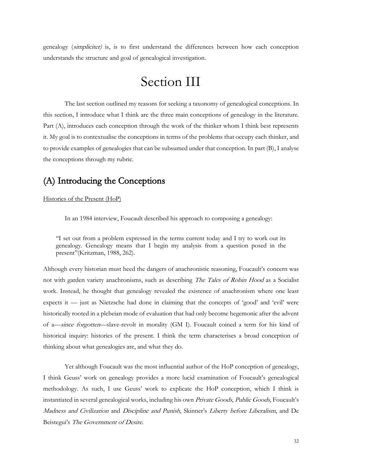genealogy (simpliciter) is, is to first understand the differences between how each conception understands the structure and goal of genealogical investigation.

## Section III

<span id="page-31-0"></span>The last section outlined my reasons for seeking a taxonomy of genealogical conceptions. In this section, I introduce what I think are the three main conceptions of genealogy in the literature. Part (A), introduces each conception through the work of the thinker whom I think best represents it. My goal is to contextualise the conceptions in terms of the problems that occupy each thinker, and to provide examples of genealogies that can be subsumed under that conception. In part (B), I analyse the conceptions through my rubric.

### <span id="page-31-1"></span>(A) Introducing the Conceptions

### Histories of the Present (HoP)

In an 1984 interview, Foucault described his approach to composing a genealogy:

''I set out from a problem expressed in the terms current today and I try to work out its genealogy. Genealogy means that I begin my analysis from a question posed in the present''(Kritzman, 1988, 262).

Although every historian must heed the dangers of anachronistic reasoning, Foucault's concern was not with garden variety anachronisms, such as describing *The Tales of Robin Hood* as a Socialist work. Instead, he thought that genealogy revealed the existence of anachronism where one least expects it — just as Nietzsche had done in claiming that the concepts of 'good' and 'evil' were historically rooted in a plebeian mode of evaluation that had only become hegemonic after the advent of a—since forgotten—slave-revolt in morality (GM I). Foucault coined a term for his kind of historical inquiry: histories of the present. I think the term characterises a broad conception of thinking about what genealogies are, and what they do.

Yet although Foucault was the most influential author of the HoP conception of genealogy, I think Geuss' work on genealogy provides a more lucid examination of Foucault's genealogical methodology. As such, I use Geuss' work to explicate the HoP conception, which I think is instantiated in several genealogical works, including his own Private Goods, Public Goods, Foucault's Madness and Civilization and Discipline and Punish, Skinner's Liberty before Liberalism, and De Beistegui's The Government of Desire.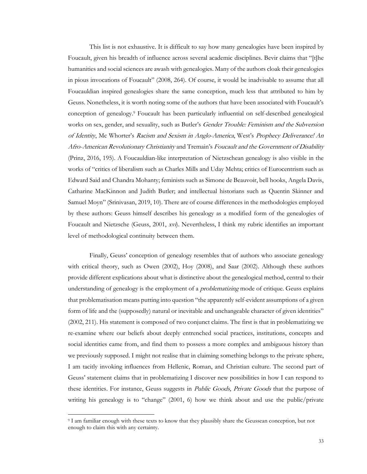This list is not exhaustive. It is difficult to say how many genealogies have been inspired by Foucault, given his breadth of influence across several academic disciplines. Bevir claims that "[t]he humanities and social sciences are awash with genealogies. Many of the authors cloak their genealogies in pious invocations of Foucault" (2008, 264). Of course, it would be inadvisable to assume that all Foucauldian inspired genealogies share the same conception, much less that attributed to him by Geuss. Nonetheless, it is worth noting some of the authors that have been associated with Foucault's conception of genealogy.<sup>9</sup> Foucault has been particularly influential on self-described genealogical works on sex, gender, and sexuality, such as Butler's Gender Trouble: Feminism and the Subversion of Identity, Mc Whorter's Racism and Sexism in Anglo-America, West's Prophecy Deliverance! An Afro-American Revolutionary Christianity and Tremain's Foucault and the Government of Disability (Prinz, 2016, 195). A Foucauldian-like interpretation of Nietzschean genealogy is also visible in the works of "critics of liberalism such as Charles Mills and Uday Mehta; critics of Eurocentrism such as Edward Said and Chandra Mohanty; feminists such as Simone de Beauvoir, bell hooks, Angela Davis, Catharine MacKinnon and Judith Butler; and intellectual historians such as Quentin Skinner and Samuel Moyn" (Srinivasan, 2019, 10). There are of course differences in the methodologies employed by these authors: Geuss himself describes his genealogy as a modified form of the genealogies of Foucault and Nietzsche (Geuss, 2001, xvi). Nevertheless, I think my rubric identifies an important level of methodological continuity between them.

Finally, Geuss' conception of genealogy resembles that of authors who associate genealogy with critical theory, such as Owen (2002), Hoy (2008), and Saar (2002). Although these authors provide different explications about what is distinctive about the genealogical method, central to their understanding of genealogy is the employment of a *problematizing* mode of critique. Geuss explains that problematisation means putting into question "the apparently self-evident assumptions of a given form of life and the (supposedly) natural or inevitable and unchangeable character of given identities" (2002, 211). His statement is composed of two conjunct claims. The first is that in problematizing we re-examine where our beliefs about deeply entrenched social practices, institutions, concepts and social identities came from, and find them to possess a more complex and ambiguous history than we previously supposed. I might not realise that in claiming something belongs to the private sphere, I am tacitly invoking influences from Hellenic, Roman, and Christian culture. The second part of Geuss' statement claims that in problematizing I discover new possibilities in how I can respond to these identities. For instance, Geuss suggests in *Public Goods, Private Goods* that the purpose of writing his genealogy is to "change" (2001, 6) how we think about and use the public/private

<sup>9</sup> I am familiar enough with these texts to know that they plausibly share the Geussean conception, but not enough to claim this with any certainty.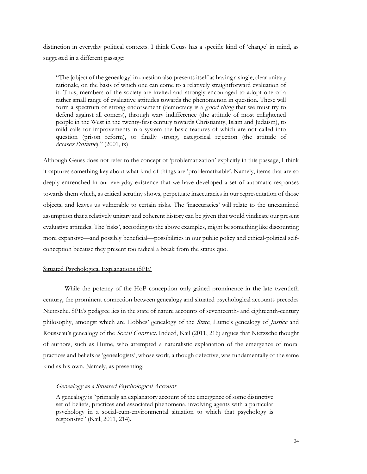distinction in everyday political contexts. I think Geuss has a specific kind of 'change' in mind, as suggested in a different passage:

"The [object of the genealogy] in question also presents itself as having a single, clear unitary rationale, on the basis of which one can come to a relatively straightforward evaluation of it. Thus, members of the society are invited and strongly encouraged to adopt one of a rather small range of evaluative attitudes towards the phenomenon in question. These will form a spectrum of strong endorsement (democracy is a *good thing* that we must try to defend against all comers), through wary indifference (the attitude of most enlightened people in the West in the twenty-first century towards Christianity, Islam and Judaism), to mild calls for improvements in a system the basic features of which are not called into question (prison reform), or finally strong, categorical rejection (the attitude of écrasez l'infame)." (2001, ix)

Although Geuss does not refer to the concept of 'problematization' explicitly in this passage, I think it captures something key about what kind of things are 'problematizable'. Namely, items that are so deeply entrenched in our everyday existence that we have developed a set of automatic responses towards them which, as critical scrutiny shows, perpetuate inaccuracies in our representation of those objects, and leaves us vulnerable to certain risks. The 'inaccuracies' will relate to the unexamined assumption that a relatively unitary and coherent history can be given that would vindicate our present evaluative attitudes. The 'risks', according to the above examples, might be something like discounting more expansive—and possibly beneficial—possibilities in our public policy and ethical-political selfconception because they present too radical a break from the status quo.

#### Situated Psychological Explanations (SPE)

While the potency of the HoP conception only gained prominence in the late twentieth century, the prominent connection between genealogy and situated psychological accounts precedes Nietzsche. SPE's pedigree lies in the state of nature accounts of seventeenth- and eighteenth-century philosophy, amongst which are Hobbes' genealogy of the State, Hume's genealogy of Justice and Rousseau's genealogy of the Social Contract. Indeed, Kail (2011, 216) argues that Nietzsche thought of authors, such as Hume, who attempted a naturalistic explanation of the emergence of moral practices and beliefs as 'genealogists', whose work, although defective, was fundamentally of the same kind as his own. Namely, as presenting:

### Genealogy as <sup>a</sup> Situated Psychological Account

A genealogy is "primarily an explanatory account of the emergence of some distinctive set of beliefs, practices and associated phenomena, involving agents with a particular psychology in a social-cum-environmental situation to which that psychology is responsive" (Kail, 2011, 214).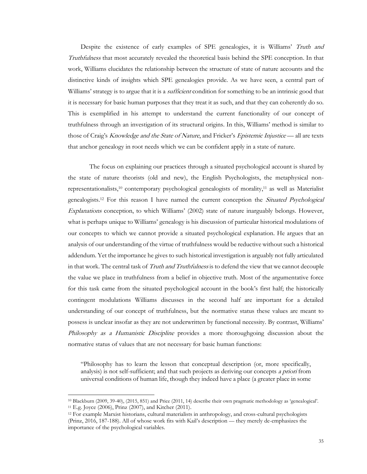Despite the existence of early examples of SPE genealogies, it is Williams' Truth and Truthfulness that most accurately revealed the theoretical basis behind the SPE conception. In that work, Williams elucidates the relationship between the structure of state of nature accounts and the distinctive kinds of insights which SPE genealogies provide. As we have seen, a central part of Williams' strategy is to argue that it is a *sufficient* condition for something to be an intrinsic good that it is necessary for basic human purposes that they treat it as such, and that they can coherently do so. This is exemplified in his attempt to understand the current functionality of our concept of truthfulness through an investigation of its structural origins. In this, Williams' method is similar to those of Craig's *Knowledge and the State of Nature*, and Fricker's *Epistemic Injustice* — all are texts that anchor genealogy in root needs which we can be confident apply in a state of nature.

The focus on explaining our practices through a situated psychological account is shared by the state of nature theorists (old and new), the English Psychologists, the metaphysical nonrepresentationalists,<sup>10</sup> contemporary psychological genealogists of morality, <sup>11</sup> as well as Materialist genealogists.<sup>12</sup> For this reason I have named the current conception the Situated Psychological Explanations conception, to which Williams' (2002) state of nature inarguably belongs. However, what is perhaps unique to Williams' genealogy is his discussion of particular historical modulations of our concepts to which we cannot provide a situated psychological explanation. He argues that an analysis of our understanding of the virtue of truthfulness would be reductive without such a historical addendum. Yet the importance he gives to such historical investigation is arguably not fully articulated in that work. The central task of Truth and Truthfulness is to defend the view that we cannot decouple the value we place in truthfulness from a belief in objective truth. Most of the argumentative force for this task came from the situated psychological account in the book's first half; the historically contingent modulations Williams discusses in the second half are important for a detailed understanding of our concept of truthfulness, but the normative status these values are meant to possess is unclear insofar as they are not underwritten by functional necessity. By contrast, Williams' Philosophy as a Humanistic Discipline provides a more thoroughgoing discussion about the normative status of values that are not necessary for basic human functions:

"Philosophy has to learn the lesson that conceptual description (or, more specifically, analysis) is not self-sufficient; and that such projects as deriving our concepts a priori from universal conditions of human life, though they indeed have a place (a greater place in some

<sup>10</sup> Blackburn (2009, 39-40), (2015, 851) and Price (2011, 14) describe their own pragmatic methodology as 'genealogical'. <sup>11</sup> E.g. Joyce (2006), Prinz (2007), and Kitcher (2011).

<sup>12</sup> For example Marxist historians, cultural materialists in anthropology, and cross-cultural psychologists (Prinz, 2016, 187-188). All of whose work fits with Kail's description — they merely de-emphasizes the importance of the psychological variables.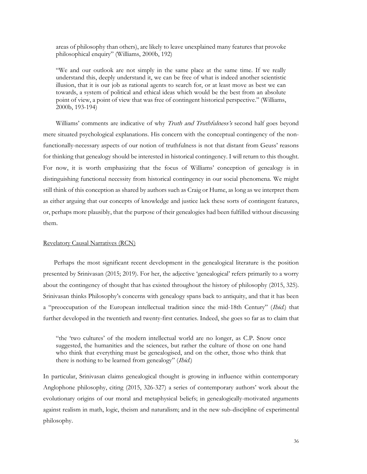areas of philosophy than others), are likely to leave unexplained many features that provoke philosophical enquiry" (Williams, 2000b, 192)

"We and our outlook are not simply in the same place at the same time. If we really understand this, deeply understand it, we can be free of what is indeed another scientistic illusion, that it is our job as rational agents to search for, or at least move as best we can towards, a system of political and ethical ideas which would be the best from an absolute point of view, a point of view that was free of contingent historical perspective." (Williams, 2000b, 193-194)

Williams' comments are indicative of why Truth and Truthfulness's second half goes beyond mere situated psychological explanations. His concern with the conceptual contingency of the nonfunctionally-necessary aspects of our notion of truthfulness is not that distant from Geuss' reasons for thinking that genealogy should be interested in historical contingency. I will return to this thought. For now, it is worth emphasizing that the focus of Williams' conception of genealogy is in distinguishing functional necessity from historical contingency in our social phenomena. We might still think of this conception as shared by authors such as Craig or Hume, as long as we interpret them as either arguing that our concepts of knowledge and justice lack these sorts of contingent features, or, perhaps more plausibly, that the purpose of their genealogies had been fulfilled without discussing them.

### Revelatory Causal Narratives (RCN)

Perhaps the most significant recent development in the genealogical literature is the position presented by Srinivasan (2015; 2019). For her, the adjective 'genealogical' refers primarily to a worry about the contingency of thought that has existed throughout the history of philosophy (2015, 325). Srinivasan thinks Philosophy's concerns with genealogy spans back to antiquity, and that it has been a "preoccupation of the European intellectual tradition since the mid-18th Century" (Ibid.) that further developed in the twentieth and twenty-first centuries. Indeed, she goes so far as to claim that

"the 'two cultures' of the modern intellectual world are no longer, as C.P. Snow once suggested, the humanities and the sciences, but rather the culture of those on one hand who think that everything must be genealogised, and on the other, those who think that there is nothing to be learned from genealogy" (*Ibid.*)

In particular, Srinivasan claims genealogical thought is growing in influence within contemporary Anglophone philosophy, citing (2015, 326-327) a series of contemporary authors' work about the evolutionary origins of our moral and metaphysical beliefs; in genealogically-motivated arguments against realism in math, logic, theism and naturalism; and in the new sub-discipline of experimental philosophy.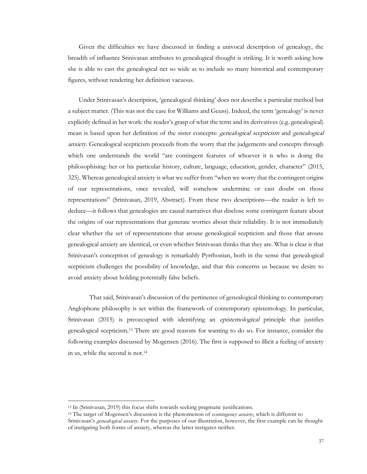Given the difficulties we have discussed in finding a univocal description of genealogy, the breadth of influence Srinivasan attributes to genealogical thought is striking. It is worth asking how she is able to cast the genealogical net so wide as to include so many historical and contemporary figures, without rendering her definition vacuous.

Under Srinivasan's description, 'genealogical thinking' does not describe a particular method but a subject matter. (This was not the case for Williams and Geuss). Indeed, the term 'genealogy' is never explicitly defined in her work: the reader's grasp of what the term and its derivatives (e.g. genealogical) mean is based upon her definition of the sister concepts: genealogical scepticism and genealogical anxiety. Genealogical scepticism proceeds from the worry that the judgements and concepts through which one understands the world "are contingent features of whoever it is who is doing the philosophising: her or his particular history, culture, language, education, gender, character" (2015, 325). Whereas genealogical anxiety is what we suffer from "when we worry that the contingent origins of our representations, once revealed, will somehow undermine or cast doubt on those representations" (Srinivasan, 2019, Abstract). From these two descriptions—the reader is left to deduce—it follows that genealogies are causal narratives that disclose some contingent feature about the origins of our representations that generate worries about their reliability. It is not immediately clear whether the set of representations that arouse genealogical scepticism and those that arouse genealogical anxiety are identical, or even whether Srinivasan thinks that they are. What is clear is that Srinivasan's conception of genealogy is remarkably Pyrrhonian, both in the sense that genealogical scepticism challenges the possibility of knowledge, and that this concerns us because we desire to avoid anxiety about holding potentially false beliefs.

That said, Srinivasan's discussion of the pertinence of genealogical thinking to contemporary Anglophone philosophy is set within the framework of contemporary epistemology. In particular, Srinivasan (2015) is preoccupied with identifying an epistemological principle that justifies genealogical scepticism.<sup>13</sup> There are good reasons for wanting to do so. For instance, consider the following examples discussed by Mogensen (2016). The first is supposed to illicit a feeling of anxiety in us, while the second is not.<sup>14</sup>

<sup>13</sup> In (Srinivasan, 2019) this focus shifts towards seeking pragmatic justifications.

<sup>&</sup>lt;sup>14</sup> The target of Mogensen's discussion is the phenomenon of *contingency anxiety*, which is different to Srinivasan's genealogical anxiety. For the purposes of our illustration, however, the first example can be thought of instigating both forms of anxiety, whereas the latter instigates neither.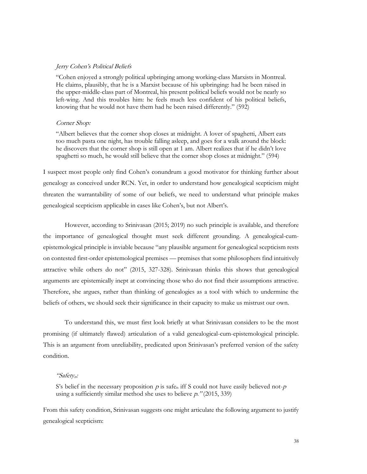# Jerry Cohen's Political Beliefs

"Cohen enjoyed a strongly political upbringing among working-class Marxists in Montreal. He claims, plausibly, that he is a Marxist because of his upbringing: had he been raised in the upper-middle-class part of Montreal, his present political beliefs would not be nearly so left-wing. And this troubles him: he feels much less confident of his political beliefs, knowing that he would not have them had he been raised differently." (592)

# Corner Shop:

"Albert believes that the corner shop closes at midnight. A lover of spaghetti, Albert eats too much pasta one night, has trouble falling asleep, and goes for a walk around the block: he discovers that the corner shop is still open at 1 am. Albert realizes that if he didn't love spaghetti so much, he would still believe that the corner shop closes at midnight." (594)

I suspect most people only find Cohen's conundrum a good motivator for thinking further about genealogy as conceived under RCN. Yet, in order to understand how genealogical scepticism might threaten the warrantability of some of our beliefs, we need to understand what principle makes genealogical scepticism applicable in cases like Cohen's, but not Albert's.

However, according to Srinivasan (2015; 2019) no such principle is available, and therefore the importance of genealogical thought must seek different grounding. A genealogical-cumepistemological principle is inviable because "any plausible argument for genealogical scepticism rests on contested first-order epistemological premises — premises that some philosophers find intuitively attractive while others do not" (2015, 327-328). Srinivasan thinks this shows that genealogical arguments are epistemically inept at convincing those who do not find their assumptions attractive. Therefore, she argues, rather than thinking of genealogies as a tool with which to undermine the beliefs of others, we should seek their significance in their capacity to make us mistrust our own.

To understand this, we must first look briefly at what Srinivasan considers to be the most promising (if ultimately flawed) articulation of a valid genealogical-cum-epistemological principle. This is an argument from unreliability, predicated upon Srinivasan's preferred version of the safety condition.

# "Safetyn:

S's belief in the necessary proposition  $p$  is safe<sub>n</sub> iff S could not have easily believed not-p using a sufficiently similar method she uses to believe  $p$ ." (2015, 339)

From this safety condition, Srinivasan suggests one might articulate the following argument to justify genealogical scepticism: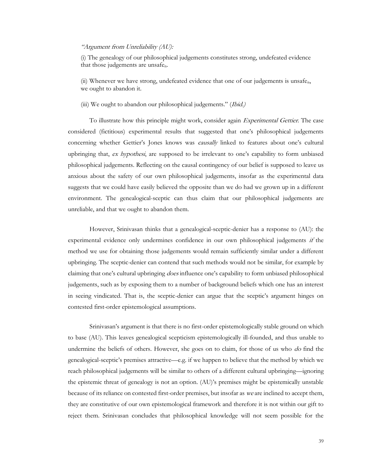# "Argument from Unreliability (AU):

(i) The genealogy of our philosophical judgements constitutes strong, undefeated evidence that those judgements are unsafen.

(ii) Whenever we have strong, undefeated evidence that one of our judgements is unsafen, we ought to abandon it.

#### (iii) We ought to abandon our philosophical judgements." (*Ibid.*)

To illustrate how this principle might work, consider again Experimental Gettier. The case considered (fictitious) experimental results that suggested that one's philosophical judgements concerning whether Gettier's Jones knows was causally linked to features about one's cultural upbringing that, ex hypothesi, are supposed to be irrelevant to one's capability to form unbiased philosophical judgements. Reflecting on the causal contingency of our belief is supposed to leave us anxious about the safety of our own philosophical judgements, insofar as the experimental data suggests that we could have easily believed the opposite than we do had we grown up in a different environment. The genealogical-sceptic can thus claim that our philosophical judgements are unreliable, and that we ought to abandon them.

However, Srinivasan thinks that a genealogical-sceptic-denier has a response to (AU): the experimental evidence only undermines confidence in our own philosophical judgements if the method we use for obtaining those judgements would remain sufficiently similar under a different upbringing. The sceptic-denier can contend that such methods would not be similar, for example by claiming that one's cultural upbringing does influence one's capability to form unbiased philosophical judgements, such as by exposing them to a number of background beliefs which one has an interest in seeing vindicated. That is, the sceptic-denier can argue that the sceptic's argument hinges on contested first-order epistemological assumptions.

Srinivasan's argument is that there is no first-order epistemologically stable ground on which to base (AU). This leaves genealogical scepticism epistemologically ill-founded, and thus unable to undermine the beliefs of others. However, she goes on to claim, for those of us who do find the genealogical-sceptic's premises attractive—e.g. if we happen to believe that the method by which we reach philosophical judgements will be similar to others of a different cultural upbringing—ignoring the epistemic threat of genealogy is not an option. (AU)'s premises might be epistemically unstable because of its reliance on contested first-order premises, but insofar as we are inclined to accept them, they are constitutive of our own epistemological framework and therefore it is not within our gift to reject them. Srinivasan concludes that philosophical knowledge will not seem possible for the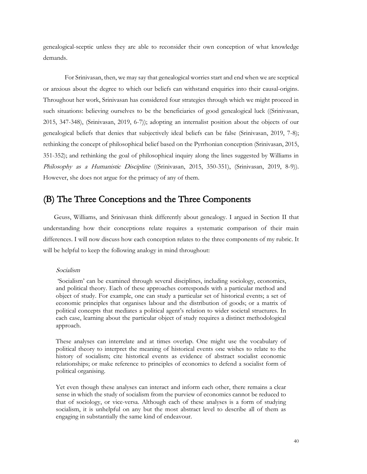genealogical-sceptic unless they are able to reconsider their own conception of what knowledge demands.

For Srinivasan, then, we may say that genealogical worries start and end when we are sceptical or anxious about the degree to which our beliefs can withstand enquiries into their causal-origins. Throughout her work, Srinivasan has considered four strategies through which we might proceed in such situations: believing ourselves to be the beneficiaries of good genealogical luck ((Srinivasan, 2015, 347-348), (Srinivasan, 2019, 6-7)); adopting an internalist position about the objects of our genealogical beliefs that denies that subjectively ideal beliefs can be false (Srinivasan, 2019, 7-8); rethinking the concept of philosophical belief based on the Pyrrhonian conception (Srinivasan, 2015, 351-352); and rethinking the goal of philosophical inquiry along the lines suggested by Williams in Philosophy as a Humanistic Discipline ((Srinivasan, 2015, 350-351), (Srinivasan, 2019, 8-9)). However, she does not argue for the primacy of any of them.

# (B) The Three Conceptions and the Three Components

Geuss, Williams, and Srinivasan think differently about genealogy. I argued in Section II that understanding how their conceptions relate requires a systematic comparison of their main differences. I will now discuss how each conception relates to the three components of my rubric. It will be helpful to keep the following analogy in mind throughout:

# Socialism

'Socialism' can be examined through several disciplines, including sociology, economics, and political theory. Each of these approaches corresponds with a particular method and object of study. For example, one can study a particular set of historical events; a set of economic principles that organises labour and the distribution of goods; or a matrix of political concepts that mediates a political agent's relation to wider societal structures. In each case, learning about the particular object of study requires a distinct methodological approach.

These analyses can interrelate and at times overlap. One might use the vocabulary of political theory to interpret the meaning of historical events one wishes to relate to the history of socialism; cite historical events as evidence of abstract socialist economic relationships; or make reference to principles of economics to defend a socialist form of political organising.

Yet even though these analyses can interact and inform each other, there remains a clear sense in which the study of socialism from the purview of economics cannot be reduced to that of sociology, or vice-versa. Although each of these analyses is a form of studying socialism, it is unhelpful on any but the most abstract level to describe all of them as engaging in substantially the same kind of endeavour.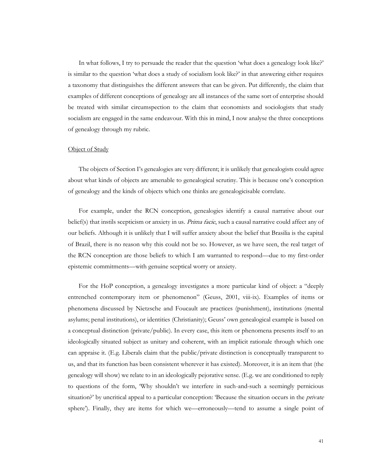In what follows, I try to persuade the reader that the question 'what does a genealogy look like?' is similar to the question 'what does a study of socialism look like?' in that answering either requires a taxonomy that distinguishes the different answers that can be given. Put differently, the claim that examples of different conceptions of genealogy are all instances of the same sort of enterprise should be treated with similar circumspection to the claim that economists and sociologists that study socialism are engaged in the same endeavour. With this in mind, I now analyse the three conceptions of genealogy through my rubric.

#### Object of Study

The objects of Section I's genealogies are very different; it is unlikely that genealogists could agree about what kinds of objects are amenable to genealogical scrutiny. This is because one's conception of genealogy and the kinds of objects which one thinks are genealogicisable correlate.

For example, under the RCN conception, genealogies identify a causal narrative about our belief(s) that instils scepticism or anxiety in us. *Prima facie*, such a causal narrative could affect any of our beliefs. Although it is unlikely that I will suffer anxiety about the belief that Brasilia is the capital of Brazil, there is no reason why this could not be so. However, as we have seen, the real target of the RCN conception are those beliefs to which I am warranted to respond—due to my first-order epistemic commitments—with genuine sceptical worry or anxiety.

For the HoP conception, a genealogy investigates a more particular kind of object: a "deeply entrenched contemporary item or phenomenon" (Geuss, 2001, viii-ix). Examples of items or phenomena discussed by Nietzsche and Foucault are practices (punishment), institutions (mental asylums; penal institutions), or identities (Christianity); Geuss' own genealogical example is based on a conceptual distinction (private/public). In every case, this item or phenomena presents itself to an ideologically situated subject as unitary and coherent, with an implicit rationale through which one can appraise it. (E.g. Liberals claim that the public/private distinction is conceptually transparent to us, and that its function has been consistent wherever it has existed). Moreover, it is an item that (the genealogy will show) we relate to in an ideologically pejorative sense. (E.g. we are conditioned to reply to questions of the form, 'Why shouldn't we interfere in such-and-such a seemingly pernicious situation?' by uncritical appeal to a particular conception: 'Because the situation occurs in the *private* sphere'). Finally, they are items for which we—erroneously—tend to assume a single point of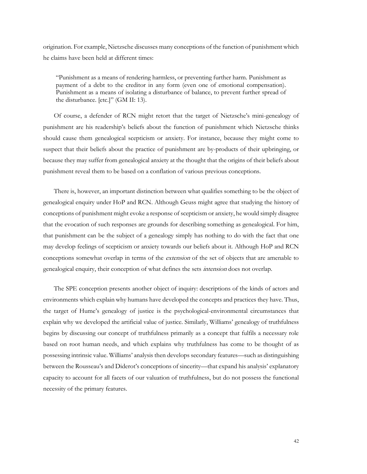origination. For example, Nietzsche discusses many conceptions of the function of punishment which he claims have been held at different times:

"Punishment as a means of rendering harmless, or preventing further harm. Punishment as payment of a debt to the creditor in any form (even one of emotional compensation). Punishment as a means of isolating a disturbance of balance, to prevent further spread of the disturbance. [etc.]" (GM II: 13).

Of course, a defender of RCN might retort that the target of Nietzsche's mini-genealogy of punishment are his readership's beliefs about the function of punishment which Nietzsche thinks should cause them genealogical scepticism or anxiety. For instance, because they might come to suspect that their beliefs about the practice of punishment are by-products of their upbringing, or because they may suffer from genealogical anxiety at the thought that the origins of their beliefs about punishment reveal them to be based on a conflation of various previous conceptions.

There is, however, an important distinction between what qualifies something to be the object of genealogical enquiry under HoP and RCN. Although Geuss might agree that studying the history of conceptions of punishment might evoke a response of scepticism or anxiety, he would simply disagree that the evocation of such responses are grounds for describing something as genealogical. For him, that punishment can be the subject of a genealogy simply has nothing to do with the fact that one may develop feelings of scepticism or anxiety towards our beliefs about it. Although HoP and RCN conceptions somewhat overlap in terms of the extension of the set of objects that are amenable to genealogical enquiry, their conception of what defines the sets intension does not overlap.

The SPE conception presents another object of inquiry: descriptions of the kinds of actors and environments which explain why humans have developed the concepts and practices they have. Thus, the target of Hume's genealogy of justice is the psychological-environmental circumstances that explain why we developed the artificial value of justice. Similarly, Williams' genealogy of truthfulness begins by discussing our concept of truthfulness primarily as a concept that fulfils a necessary role based on root human needs, and which explains why truthfulness has come to be thought of as possessing intrinsic value. Williams' analysis then develops secondary features—such as distinguishing between the Rousseau's and Diderot's conceptions of sincerity—that expand his analysis' explanatory capacity to account for all facets of our valuation of truthfulness, but do not possess the functional necessity of the primary features.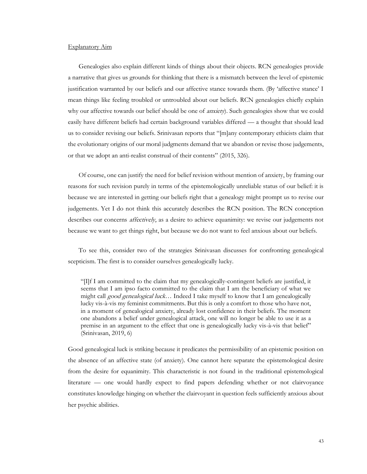#### Explanatory Aim

Genealogies also explain different kinds of things about their objects. RCN genealogies provide a narrative that gives us grounds for thinking that there is a mismatch between the level of epistemic justification warranted by our beliefs and our affective stance towards them. (By 'affective stance' I mean things like feeling troubled or untroubled about our beliefs. RCN genealogies chiefly explain why our affective towards our belief should be one of *anxiety*). Such genealogies show that we could easily have different beliefs had certain background variables differed — a thought that should lead us to consider revising our beliefs. Srinivasan reports that "[m]any contemporary ethicists claim that the evolutionary origins of our moral judgments demand that we abandon or revise those judgements, or that we adopt an anti-realist construal of their contents" (2015, 326).

Of course, one can justify the need for belief revision without mention of anxiety, by framing our reasons for such revision purely in terms of the epistemologically unreliable status of our belief: it is because we are interested in getting our beliefs right that a genealogy might prompt us to revise our judgements. Yet I do not think this accurately describes the RCN position. The RCN conception describes our concerns *affectively*, as a desire to achieve equanimity: we revise our judgements not because we want to get things right, but because we do not want to feel anxious about our beliefs.

To see this, consider two of the strategies Srinivasan discusses for confronting genealogical scepticism. The first is to consider ourselves genealogically lucky.

"[I]f I am committed to the claim that my genealogically-contingent beliefs are justified, it seems that I am ipso facto committed to the claim that I am the beneficiary of what we might call good genealogical luck... Indeed I take myself to know that I am genealogically lucky vis-à-vis my feminist commitments. But this is only a comfort to those who have not, in a moment of genealogical anxiety, already lost confidence in their beliefs. The moment one abandons a belief under genealogical attack, one will no longer be able to use it as a premise in an argument to the effect that one is genealogically lucky vis-à-vis that belief" (Srinivasan, 2019, 6)

Good genealogical luck is striking because it predicates the permissibility of an epistemic position on the absence of an affective state (of anxiety). One cannot here separate the epistemological desire from the desire for equanimity. This characteristic is not found in the traditional epistemological literature — one would hardly expect to find papers defending whether or not clairvoyance constitutes knowledge hinging on whether the clairvoyant in question feels sufficiently anxious about her psychic abilities.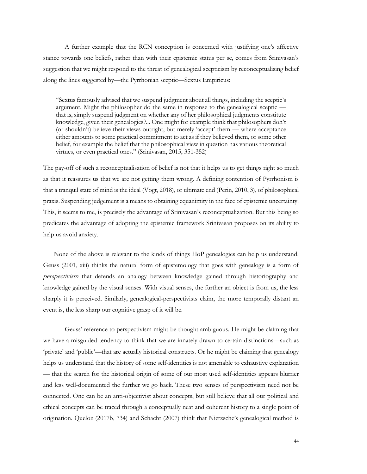A further example that the RCN conception is concerned with justifying one's affective stance towards one beliefs, rather than with their epistemic status per se, comes from Srinivasan's suggestion that we might respond to the threat of genealogical scepticism by reconceptualising belief along the lines suggested by—the Pyrrhonian sceptic—Sextus Empiricus:

"Sextus famously advised that we suspend judgment about all things, including the sceptic's argument. Might the philosopher do the same in response to the genealogical sceptic that is, simply suspend judgment on whether any of her philosophical judgments constitute knowledge, given their genealogies?... One might for example think that philosophers don't (or shouldn't) believe their views outright, but merely 'accept' them — where acceptance either amounts to some practical commitment to act as if they believed them, or some other belief, for example the belief that the philosophical view in question has various theoretical virtues, or even practical ones." (Srinivasan, 2015, 351-352)

The pay-off of such a reconceptualisation of belief is not that it helps us to get things right so much as that it reassures us that we are not getting them wrong. A defining contention of Pyrrhonism is that a tranquil state of mind is the ideal (Vogt, 2018), or ultimate end (Perin, 2010, 3), of philosophical praxis. Suspending judgement is a means to obtaining equanimity in the face of epistemic uncertainty. This, it seems to me, is precisely the advantage of Srinivasan's reconceptualization. But this being so predicates the advantage of adopting the epistemic framework Srinivasan proposes on its ability to help us avoid anxiety.

None of the above is relevant to the kinds of things HoP genealogies can help us understand. Geuss (2001, xiii) thinks the natural form of epistemology that goes with genealogy is a form of perspectivism that defends an analogy between knowledge gained through historiography and knowledge gained by the visual senses. With visual senses, the further an object is from us, the less sharply it is perceived. Similarly, genealogical-perspectivists claim, the more temporally distant an event is, the less sharp our cognitive grasp of it will be.

Geuss' reference to perspectivism might be thought ambiguous. He might be claiming that we have a misguided tendency to think that we are innately drawn to certain distinctions—such as 'private' and 'public'—that are actually historical constructs. Or he might be claiming that genealogy helps us understand that the history of some self-identities is not amenable to exhaustive explanation — that the search for the historical origin of some of our most used self-identities appears blurrier and less well-documented the further we go back. These two senses of perspectivism need not be connected. One can be an anti-objectivist about concepts, but still believe that all our political and ethical concepts can be traced through a conceptually neat and coherent history to a single point of origination. Queloz (2017b, 734) and Schacht (2007) think that Nietzsche's genealogical method is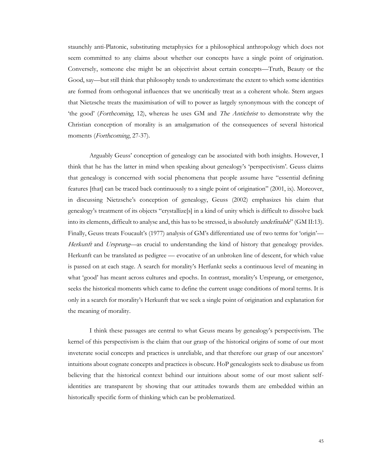staunchly anti-Platonic, substituting metaphysics for a philosophical anthropology which does not seem committed to any claims about whether our concepts have a single point of origination. Conversely, someone else might be an objectivist about certain concepts—Truth, Beauty or the Good, say—but still think that philosophy tends to underestimate the extent to which some identities are formed from orthogonal influences that we uncritically treat as a coherent whole. Stern argues that Nietzsche treats the maximisation of will to power as largely synonymous with the concept of 'the good' (Forthcoming, 12), whereas he uses GM and The Antichrist to demonstrate why the Christian conception of morality is an amalgamation of the consequences of several historical moments (*Forthcoming*, 27-37).

Arguably Geuss' conception of genealogy can be associated with both insights. However, I think that he has the latter in mind when speaking about genealogy's 'perspectivism'. Geuss claims that genealogy is concerned with social phenomena that people assume have "essential defining features [that] can be traced back continuously to a single point of origination" (2001, ix). Moreover, in discussing Nietzsche's conception of genealogy, Geuss (2002) emphasizes his claim that genealogy's treatment of its objects "crystallize[s] in a kind of unity which is difficult to dissolve back into its elements, difficult to analyse and, this has to be stressed, is absolutely *undefinable*" (GM II:13). Finally, Geuss treats Foucault's (1977) analysis of GM's differentiated use of two terms for 'origin'— Herkunft and Ursprung—as crucial to understanding the kind of history that genealogy provides. Herkunft can be translated as pedigree — evocative of an unbroken line of descent, for which value is passed on at each stage. A search for morality's Herfunkt seeks a continuous level of meaning in what 'good' has meant across cultures and epochs. In contrast, morality's Ursprung, or emergence, seeks the historical moments which came to define the current usage conditions of moral terms. It is only in a search for morality's Herkunft that we seek a single point of origination and explanation for the meaning of morality.

I think these passages are central to what Geuss means by genealogy's perspectivism. The kernel of this perspectivism is the claim that our grasp of the historical origins of some of our most inveterate social concepts and practices is unreliable, and that therefore our grasp of our ancestors' intuitions about cognate concepts and practices is obscure. HoP genealogists seek to disabuse us from believing that the historical context behind our intuitions about some of our most salient selfidentities are transparent by showing that our attitudes towards them are embedded within an historically specific form of thinking which can be problematized.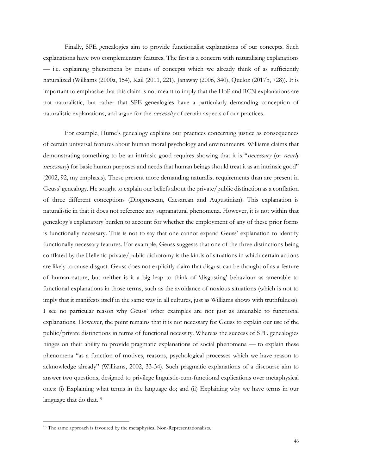Finally, SPE genealogies aim to provide functionalist explanations of our concepts. Such explanations have two complementary features. The first is a concern with naturalising explanations — i.e. explaining phenomena by means of concepts which we already think of as sufficiently naturalized (Williams (2000a, 154), Kail (2011, 221), Janaway (2006, 340), Queloz (2017b, 728)). It is important to emphasize that this claim is not meant to imply that the HoP and RCN explanations are not naturalistic, but rather that SPE genealogies have a particularly demanding conception of naturalistic explanations, and argue for the necessity of certain aspects of our practices.

For example, Hume's genealogy explains our practices concerning justice as consequences of certain universal features about human moral psychology and environments. Williams claims that demonstrating something to be an intrinsic good requires showing that it is "necessary (or nearly necessary) for basic human purposes and needs that human beings should treat it as an intrinsic good" (2002, 92, my emphasis). These present more demanding naturalist requirements than are present in Geuss' genealogy. He sought to explain our beliefs about the private/public distinction as a conflation of three different conceptions (Diogenesean, Caesarean and Augustinian). This explanation is naturalistic in that it does not reference any supranatural phenomena. However, it is not within that genealogy's explanatory burden to account for whether the employment of any of these prior forms is functionally necessary. This is not to say that one cannot expand Geuss' explanation to identify functionally necessary features. For example, Geuss suggests that one of the three distinctions being conflated by the Hellenic private/public dichotomy is the kinds of situations in which certain actions are likely to cause disgust. Geuss does not explicitly claim that disgust can be thought of as a feature of human-nature, but neither is it a big leap to think of 'disgusting' behaviour as amenable to functional explanations in those terms, such as the avoidance of noxious situations (which is not to imply that it manifests itself in the same way in all cultures, just as Williams shows with truthfulness). I see no particular reason why Geuss' other examples are not just as amenable to functional explanations. However, the point remains that it is not necessary for Geuss to explain our use of the public/private distinctions in terms of functional necessity. Whereas the success of SPE genealogies hinges on their ability to provide pragmatic explanations of social phenomena — to explain these phenomena "as a function of motives, reasons, psychological processes which we have reason to acknowledge already" (Williams, 2002, 33-34). Such pragmatic explanations of a discourse aim to answer two questions, designed to privilege linguistic-cum-functional explications over metaphysical ones: (i) Explaining what terms in the language do; and (ii) Explaining why we have terms in our language that do that.<sup>15</sup>

<sup>&</sup>lt;sup>15</sup> The same approach is favoured by the metaphysical Non-Representationalists.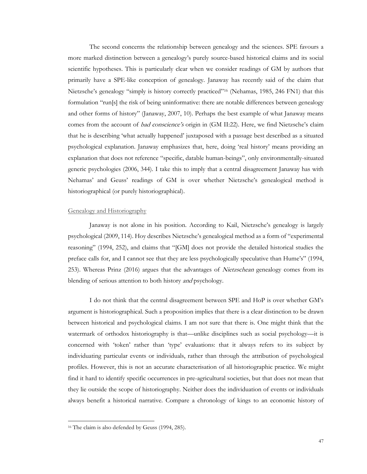The second concerns the relationship between genealogy and the sciences. SPE favours a more marked distinction between a genealogy's purely source-based historical claims and its social scientific hypotheses. This is particularly clear when we consider readings of GM by authors that primarily have a SPE-like conception of genealogy. Janaway has recently said of the claim that Nietzsche's genealogy "simply is history correctly practiced"<sup>16</sup> (Nehamas, 1985, 246 FN1) that this formulation "run[s] the risk of being uninformative: there are notable differences between genealogy and other forms of history" (Janaway, 2007, 10). Perhaps the best example of what Janaway means comes from the account of *bad conscience's* origin in (GM II:22). Here, we find Nietzsche's claim that he is describing 'what actually happened' juxtaposed with a passage best described as a situated psychological explanation. Janaway emphasizes that, here, doing 'real history' means providing an explanation that does not reference "specific, datable human-beings", only environmentally-situated generic psychologies (2006, 344). I take this to imply that a central disagreement Janaway has with Nehamas' and Geuss' readings of GM is over whether Nietzsche's genealogical method is historiographical (or purely historiographical).

# Genealogy and Historiography

Janaway is not alone in his position. According to Kail, Nietzsche's genealogy is largely psychological (2009, 114). Hoy describes Nietzsche's genealogical method as a form of "experimental reasoning" (1994, 252), and claims that "[GM] does not provide the detailed historical studies the preface calls for, and I cannot see that they are less psychologically speculative than Hume's" (1994, 253). Whereas Prinz (2016) argues that the advantages of Nietzschean genealogy comes from its blending of serious attention to both history and psychology.

I do not think that the central disagreement between SPE and HoP is over whether GM's argument is historiographical. Such a proposition implies that there is a clear distinction to be drawn between historical and psychological claims. I am not sure that there is. One might think that the watermark of orthodox historiography is that—unlike disciplines such as social psychology—it is concerned with 'token' rather than 'type' evaluations: that it always refers to its subject by individuating particular events or individuals, rather than through the attribution of psychological profiles. However, this is not an accurate characterisation of all historiographic practice. We might find it hard to identify specific occurrences in pre-agricultural societies, but that does not mean that they lie outside the scope of historiography. Neither does the individuation of events or individuals always benefit a historical narrative. Compare a chronology of kings to an economic history of

<sup>16</sup> The claim is also defended by Geuss (1994, 285).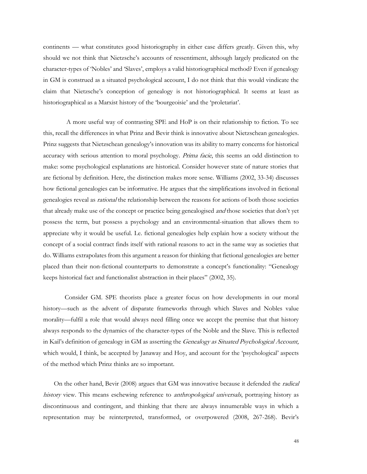continents — what constitutes good historiography in either case differs greatly. Given this, why should we not think that Nietzsche's accounts of ressentiment, although largely predicated on the character-types of 'Nobles' and 'Slaves', employs a valid historiographical method? Even if genealogy in GM is construed as a situated psychological account, I do not think that this would vindicate the claim that Nietzsche's conception of genealogy is not historiographical. It seems at least as historiographical as a Marxist history of the 'bourgeoisie' and the 'proletariat'.

A more useful way of contrasting SPE and HoP is on their relationship to fiction. To see this, recall the differences in what Prinz and Bevir think is innovative about Nietzschean genealogies. Prinz suggests that Nietzschean genealogy's innovation was its ability to marry concerns for historical accuracy with serious attention to moral psychology. Prima facie, this seems an odd distinction to make: some psychological explanations are historical. Consider however state of nature stories that are fictional by definition. Here, the distinction makes more sense. Williams (2002, 33-34) discusses how fictional genealogies can be informative. He argues that the simplifications involved in fictional genealogies reveal as rational the relationship between the reasons for actions of both those societies that already make use of the concept or practice being genealogised *and* those societies that don't yet possess the term, but possess a psychology and an environmental-situation that allows them to appreciate why it would be useful. I.e. fictional genealogies help explain how a society without the concept of a social contract finds itself with rational reasons to act in the same way as societies that do. Williams extrapolates from this argument a reason for thinking that fictional genealogies are better placed than their non-fictional counterparts to demonstrate a concept's functionality: "Genealogy keeps historical fact and functionalist abstraction in their places" (2002, 35).

Consider GM. SPE theorists place a greater focus on how developments in our moral history—such as the advent of disparate frameworks through which Slaves and Nobles value morality—fulfil a role that would always need filling once we accept the premise that that history always responds to the dynamics of the character-types of the Noble and the Slave. This is reflected in Kail's definition of genealogy in GM as asserting the Genealogy as Situated Psychological Account, which would, I think, be accepted by Janaway and Hoy, and account for the 'psychological' aspects of the method which Prinz thinks are so important.

On the other hand, Bevir (2008) argues that GM was innovative because it defended the radical history view. This means eschewing reference to anthropological universals, portraying history as discontinuous and contingent, and thinking that there are always innumerable ways in which a representation may be reinterpreted, transformed, or overpowered (2008, 267-268). Bevir's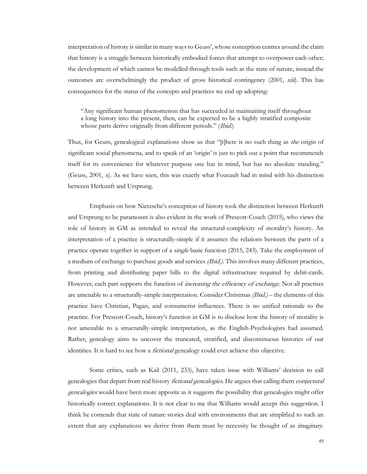interpretation of history is similar in many ways to Geuss', whose conception centres around the claim that history is a struggle between historically embodied forces that attempt to overpower each other; the development of which cannot be modelled through tools such as the state of nature, instead the outcomes are overwhelmingly the product of gross historical contingency  $(2001, x\ddot{u})$ . This has consequences for the status of the concepts and practices we end up adopting:

"Any significant human phenomenon that has succeeded in maintaining itself throughout a long history into the present, then, can be expected to be a highly stratified composite whose parts derive originally from different periods." (*Ibid.*)

Thus, for Geuss, genealogical explanations show us that "[t]here is no such thing as *the* origin of significant social phenomena, and to speak of an 'origin' is just to pick out a point that recommends itself for its convenience for whatever purpose one has in mind, but has no absolute standing." (Geuss, 2001, x). As we have seen, this was exactly what Foucault had in mind with his distinction between Herkunft and Ursprung.

Emphasis on how Nietzsche's conception of history took the distinction between Herkunft and Ursprung to be paramount is also evident in the work of Prescott-Couch (2015), who views the role of history in GM as intended to reveal the structural-complexity of morality's history. An interpretation of a practice is structurally-simple if it assumes the relations between the parts of a practice operate together in support of a single basic function (2015, 243). Take the employment of a medium of exchange to purchase goods and services (Ibid.). This involves many different practices, from printing and distributing paper bills to the digital infrastructure required by debit-cards. However, each part supports the function of *increasing the efficiency of exchange*. Not all practises are amenable to a structurally-simple interpretation. Consider Christmas (Ibid.) – the elements of this practice have Christian, Pagan, and consumerist influences. There is no unified rationale to the practice. For Prescott-Couch, history's function in GM is to disclose how the history of morality is not amenable to a structurally-simple interpretation, as the English-Psychologists had assumed. Rather, genealogy aims to uncover the truncated, stratified, and discontinuous histories of our identities. It is hard to see how a fictional genealogy could ever achieve this objective.

Some critics, such as Kail (2011, 233), have taken issue with Williams' decision to call genealogies that depart from real history fictional genealogies. He argues that calling them conjectural genealogies would have been more apposite as it suggests the possibility that genealogies might offer historically correct explanations. It is not clear to me that Williams would accept this suggestion. I think he contends that state of nature stories deal with environments that are simplified to such an extent that any explanations we derive from them must by necessity be thought of as *imaginary*.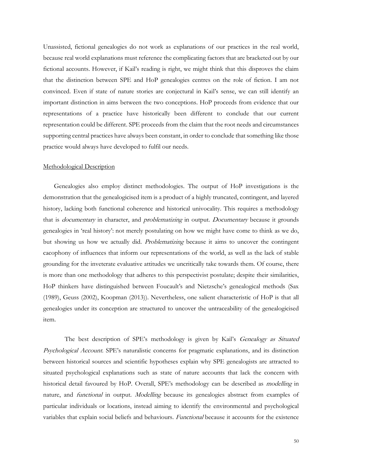Unassisted, fictional genealogies do not work as explanations of our practices in the real world, because real world explanations must reference the complicating factors that are bracketed out by our fictional accounts. However, if Kail's reading is right, we might think that this disproves the claim that the distinction between SPE and HoP genealogies centres on the role of fiction. I am not convinced. Even if state of nature stories are conjectural in Kail's sense, we can still identify an important distinction in aims between the two conceptions. HoP proceeds from evidence that our representations of a practice have historically been different to conclude that our current representation could be different. SPE proceeds from the claim that the root needs and circumstances supporting central practices have always been constant, in order to conclude that something like those practice would always have developed to fulfil our needs.

#### Methodological Description

Genealogies also employ distinct methodologies. The output of HoP investigations is the demonstration that the genealogicised item is a product of a highly truncated, contingent, and layered history, lacking both functional coherence and historical univocality. This requires a methodology that is documentary in character, and problematizing in output. Documentary because it grounds genealogies in 'real history': not merely postulating on how we might have come to think as we do, but showing us how we actually did. Problematizing because it aims to uncover the contingent cacophony of influences that inform our representations of the world, as well as the lack of stable grounding for the inveterate evaluative attitudes we uncritically take towards them. Of course, there is more than one methodology that adheres to this perspectivist postulate; despite their similarities, HoP thinkers have distinguished between Foucault's and Nietzsche's genealogical methods (Sax (1989), Geuss (2002), Koopman (2013)). Nevertheless, one salient characteristic of HoP is that all genealogies under its conception are structured to uncover the untraceability of the genealogicised item.

The best description of SPE's methodology is given by Kail's *Genealogy as Situated* Psychological Account. SPE's naturalistic concerns for pragmatic explanations, and its distinction between historical sources and scientific hypotheses explain why SPE genealogists are attracted to situated psychological explanations such as state of nature accounts that lack the concern with historical detail favoured by HoP. Overall, SPE's methodology can be described as *modelling* in nature, and *functional* in output. *Modelling* because its genealogies abstract from examples of particular individuals or locations, instead aiming to identify the environmental and psychological variables that explain social beliefs and behaviours. Functional because it accounts for the existence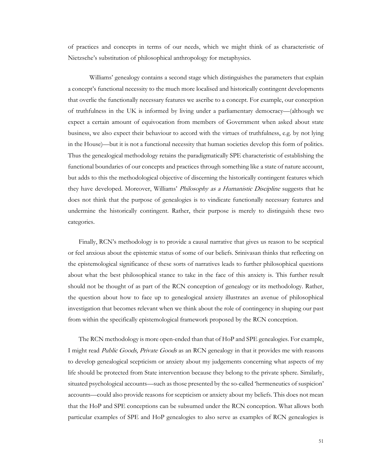of practices and concepts in terms of our needs, which we might think of as characteristic of Nietzsche's substitution of philosophical anthropology for metaphysics.

Williams' genealogy contains a second stage which distinguishes the parameters that explain a concept's functional necessity to the much more localised and historically contingent developments that overlie the functionally necessary features we ascribe to a concept. For example, our conception of truthfulness in the UK is informed by living under a parliamentary democracy—(although we expect a certain amount of equivocation from members of Government when asked about state business, we also expect their behaviour to accord with the virtues of truthfulness, e.g. by not lying in the House)—but it is not a functional necessity that human societies develop this form of politics. Thus the genealogical methodology retains the paradigmatically SPE characteristic of establishing the functional boundaries of our concepts and practices through something like a state of nature account, but adds to this the methodological objective of discerning the historically contingent features which they have developed. Moreover, Williams' Philosophy as a Humanistic Discipline suggests that he does not think that the purpose of genealogies is to vindicate functionally necessary features and undermine the historically contingent. Rather, their purpose is merely to distinguish these two categories.

Finally, RCN's methodology is to provide a causal narrative that gives us reason to be sceptical or feel anxious about the epistemic status of some of our beliefs. Srinivasan thinks that reflecting on the epistemological significance of these sorts of narratives leads to further philosophical questions about what the best philosophical stance to take in the face of this anxiety is. This further result should not be thought of as part of the RCN conception of genealogy or its methodology. Rather, the question about how to face up to genealogical anxiety illustrates an avenue of philosophical investigation that becomes relevant when we think about the role of contingency in shaping our past from within the specifically epistemological framework proposed by the RCN conception.

The RCN methodology is more open-ended than that of HoP and SPE genealogies. For example, I might read Public Goods, Private Goods as an RCN genealogy in that it provides me with reasons to develop genealogical scepticism or anxiety about my judgements concerning what aspects of my life should be protected from State intervention because they belong to the private sphere. Similarly, situated psychological accounts—such as those presented by the so-called 'hermeneutics of suspicion' accounts—could also provide reasons for scepticism or anxiety about my beliefs. This does not mean that the HoP and SPE conceptions can be subsumed under the RCN conception. What allows both particular examples of SPE and HoP genealogies to also serve as examples of RCN genealogies is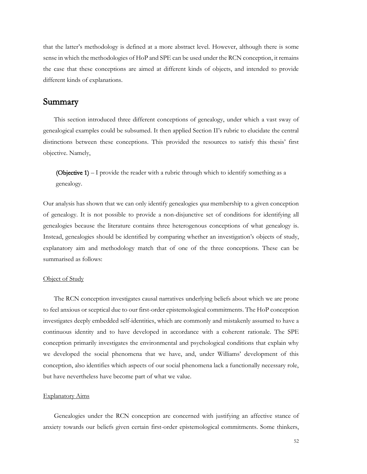that the latter's methodology is defined at a more abstract level. However, although there is some sense in which the methodologies of HoP and SPE can be used under the RCN conception, it remains the case that these conceptions are aimed at different kinds of objects, and intended to provide different kinds of explanations.

# Summary

This section introduced three different conceptions of genealogy, under which a vast sway of genealogical examples could be subsumed. It then applied Section II's rubric to elucidate the central distinctions between these conceptions. This provided the resources to satisfy this thesis' first objective. Namely,

**(Objective 1)** – I provide the reader with a rubric through which to identify something as a genealogy.

Our analysis has shown that we can only identify genealogies qua membership to a given conception of genealogy. It is not possible to provide a non-disjunctive set of conditions for identifying all genealogies because the literature contains three heterogenous conceptions of what genealogy is. Instead, genealogies should be identified by comparing whether an investigation's objects of study, explanatory aim and methodology match that of one of the three conceptions. These can be summarised as follows:

## Object of Study

The RCN conception investigates causal narratives underlying beliefs about which we are prone to feel anxious or sceptical due to our first-order epistemological commitments. The HoP conception investigates deeply embedded self-identities, which are commonly and mistakenly assumed to have a continuous identity and to have developed in accordance with a coherent rationale. The SPE conception primarily investigates the environmental and psychological conditions that explain why we developed the social phenomena that we have, and, under Williams' development of this conception, also identifies which aspects of our social phenomena lack a functionally necessary role, but have nevertheless have become part of what we value.

#### Explanatory Aims

Genealogies under the RCN conception are concerned with justifying an affective stance of anxiety towards our beliefs given certain first-order epistemological commitments. Some thinkers,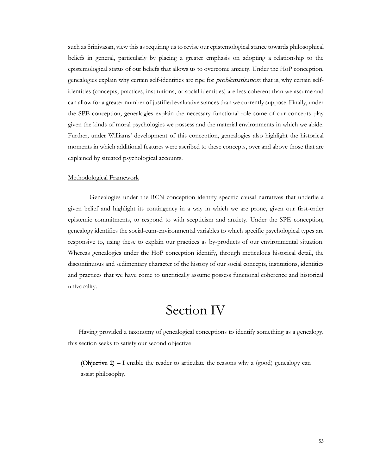such as Srinivasan, view this as requiring us to revise our epistemological stance towards philosophical beliefs in general, particularly by placing a greater emphasis on adopting a relationship to the epistemological status of our beliefs that allows us to overcome anxiety. Under the HoP conception, genealogies explain why certain self-identities are ripe for problematization: that is, why certain selfidentities (concepts, practices, institutions, or social identities) are less coherent than we assume and can allow for a greater number of justified evaluative stances than we currently suppose. Finally, under the SPE conception, genealogies explain the necessary functional role some of our concepts play given the kinds of moral psychologies we possess and the material environments in which we abide. Further, under Williams' development of this conception, genealogies also highlight the historical moments in which additional features were ascribed to these concepts, over and above those that are explained by situated psychological accounts.

# Methodological Framework

Genealogies under the RCN conception identify specific causal narratives that underlie a given belief and highlight its contingency in a way in which we are prone, given our first-order epistemic commitments, to respond to with scepticism and anxiety. Under the SPE conception, genealogy identifies the social-cum-environmental variables to which specific psychological types are responsive to, using these to explain our practices as by-products of our environmental situation. Whereas genealogies under the HoP conception identify, through meticulous historical detail, the discontinuous and sedimentary character of the history of our social concepts, institutions, identities and practices that we have come to uncritically assume possess functional coherence and historical univocality.

# Section IV

Having provided a taxonomy of genealogical conceptions to identify something as a genealogy, this section seeks to satisfy our second objective

**(Objective 2)** – I enable the reader to articulate the reasons why a (good) genealogy can assist philosophy.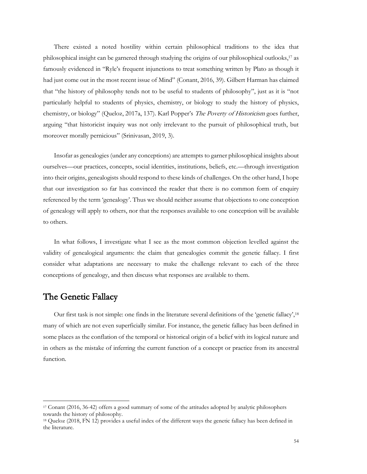There existed a noted hostility within certain philosophical traditions to the idea that philosophical insight can be garnered through studying the origins of our philosophical outlooks, <sup>17</sup> as famously evidenced in "Ryle's frequent injunctions to treat something written by Plato as though it had just come out in the most recent issue of Mind" (Conant, 2016, 39). Gilbert Harman has claimed that "the history of philosophy tends not to be useful to students of philosophy", just as it is "not particularly helpful to students of physics, chemistry, or biology to study the history of physics, chemistry, or biology" (Queloz, 2017a, 137). Karl Popper's The Poverty of Historicism goes further, arguing "that historicist inquiry was not only irrelevant to the pursuit of philosophical truth, but moreover morally pernicious" (Srinivasan, 2019, 3).

Insofar as genealogies (under any conceptions) are attempts to garner philosophical insights about ourselves—our practices, concepts, social identities, institutions, beliefs, etc.—through investigation into their origins, genealogists should respond to these kinds of challenges. On the other hand, I hope that our investigation so far has convinced the reader that there is no common form of enquiry referenced by the term 'genealogy'. Thus we should neither assume that objections to one conception of genealogy will apply to others, nor that the responses available to one conception will be available to others.

In what follows, I investigate what I see as the most common objection levelled against the validity of genealogical arguments: the claim that genealogies commit the genetic fallacy. I first consider what adaptations are necessary to make the challenge relevant to each of the three conceptions of genealogy, and then discuss what responses are available to them.

# The Genetic Fallacy

Our first task is not simple: one finds in the literature several definitions of the 'genetic fallacy',<sup>18</sup> many of which are not even superficially similar. For instance, the genetic fallacy has been defined in some places as the conflation of the temporal or historical origin of a belief with its logical nature and in others as the mistake of inferring the current function of a concept or practice from its ancestral function.

<sup>17</sup> Conant (2016, 36-42) offers a good summary of some of the attitudes adopted by analytic philosophers towards the history of philosophy.

<sup>18</sup> Queloz (2018, FN 12) provides a useful index of the different ways the genetic fallacy has been defined in the literature.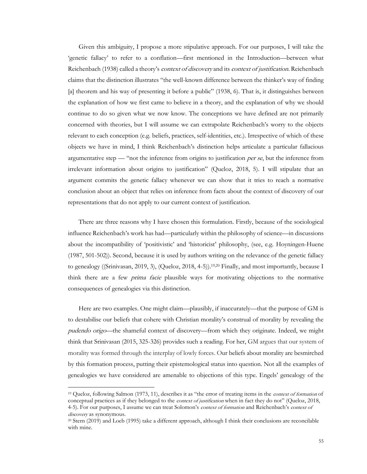Given this ambiguity, I propose a more stipulative approach. For our purposes, I will take the 'genetic fallacy' to refer to a conflation—first mentioned in the Introduction—between what Reichenbach (1938) called a theory's context of discovery and its context of justification. Reichenbach claims that the distinction illustrates "the well-known difference between the thinker's way of finding [a] theorem and his way of presenting it before a public" (1938, 6). That is, it distinguishes between the explanation of how we first came to believe in a theory, and the explanation of why we should continue to do so given what we now know. The conceptions we have defined are not primarily concerned with theories, but I will assume we can extrapolate Reichenbach's worry to the objects relevant to each conception (e.g. beliefs, practices, self-identities, etc.). Irrespective of which of these objects we have in mind, I think Reichenbach's distinction helps articulate a particular fallacious argumentative step — "not the inference from origins to justification per se, but the inference from irrelevant information about origins to justification" (Queloz, 2018, 5). I will stipulate that an argument commits the genetic fallacy whenever we can show that it tries to reach a normative conclusion about an object that relies on inference from facts about the context of discovery of our representations that do not apply to our current context of justification.

There are three reasons why I have chosen this formulation. Firstly, because of the sociological influence Reichenbach's work has had—particularly within the philosophy of science—in discussions about the incompatibility of 'positivistic' and 'historicist' philosophy, (see, e.g. Hoyningen-Huene (1987, 501-502)). Second, because it is used by authors writing on the relevance of the genetic fallacy to genealogy ((Srinivasan, 2019, 3), (Queloz, 2018, 4-5)). 19,20 Finally, and most importantly, because I think there are a few *prima facie* plausible ways for motivating objections to the normative consequences of genealogies via this distinction.

Here are two examples. One might claim—plausibly, if inaccurately—that the purpose of GM is to destabilise our beliefs that cohere with Christian morality's construal of morality by revealing the pudendo origo—the shameful context of discovery—from which they originate. Indeed, we might think that Srinivasan (2015, 325-326) provides such a reading. For her, GM argues that our system of morality was formed through the interplay of lowly forces. Our beliefs about morality are besmirched by this formation process, putting their epistemological status into question. Not all the examples of genealogies we have considered are amenable to objections of this type. Engels' genealogy of the

<sup>&</sup>lt;sup>19</sup> Queloz, following Salmon (1973, 11), describes it as "the error of treating items in the *context of formation* of conceptual practices as if they belonged to the context of justification when in fact they do not" (Queloz, 2018, 4-5). For our purposes, I assume we can treat Solomon's context of formation and Reichenbach's context of discovery as synonymous.

<sup>20</sup> Stern (2019) and Loeb (1995) take a different approach, although I think their conclusions are reconcilable with mine.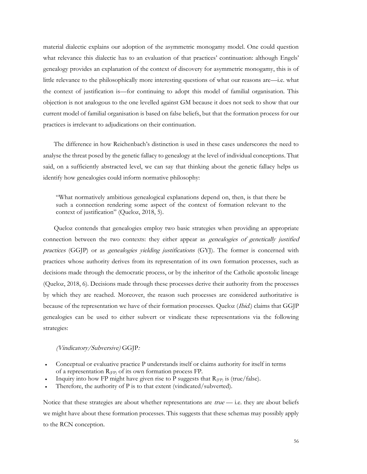material dialectic explains our adoption of the asymmetric monogamy model. One could question what relevance this dialectic has to an evaluation of that practices' continuation: although Engels' genealogy provides an explanation of the context of discovery for asymmetric monogamy, this is of little relevance to the philosophically more interesting questions of what our reasons are—i.e. what the context of justification is—for continuing to adopt this model of familial organisation. This objection is not analogous to the one levelled against GM because it does not seek to show that our current model of familial organisation is based on false beliefs, but that the formation process for our practices is irrelevant to adjudications on their continuation.

The difference in how Reichenbach's distinction is used in these cases underscores the need to analyse the threat posed by the genetic fallacy to genealogy at the level of individual conceptions. That said, on a sufficiently abstracted level, we can say that thinking about the genetic fallacy helps us identify how genealogies could inform normative philosophy:

"What normatively ambitious genealogical explanations depend on, then, is that there be such a connection rendering some aspect of the context of formation relevant to the context of justification" (Queloz, 2018, 5).

Queloz contends that genealogies employ two basic strategies when providing an appropriate connection between the two contexts: they either appear as *genealogies of genetically justified* practices (GGJP) or as genealogies yielding justifications (GYJ). The former is concerned with practices whose authority derives from its representation of its own formation processes, such as decisions made through the democratic process, or by the inheritor of the Catholic apostolic lineage (Queloz, 2018, 6). Decisions made through these processes derive their authority from the processes by which they are reached. Moreover, the reason such processes are considered authoritative is because of the representation we have of their formation processes. Queloz (Ibid.) claims that GGJP genealogies can be used to either subvert or vindicate these representations via the following strategies:

#### (Vindicatory/Subversive) GGJP:

- Conceptual or evaluative practice P understands itself or claims authority for itself in terms of a representation  $R_{(FP)}$  of its own formation process FP.
- Inquiry into how FP might have given rise to P suggests that  $R_{(FP)}$  is (true/false).
- Therefore, the authority of P is to that extent (vindicated/subverted).

Notice that these strategies are about whether representations are  $true$  — i.e. they are about beliefs we might have about these formation processes. This suggests that these schemas may possibly apply to the RCN conception.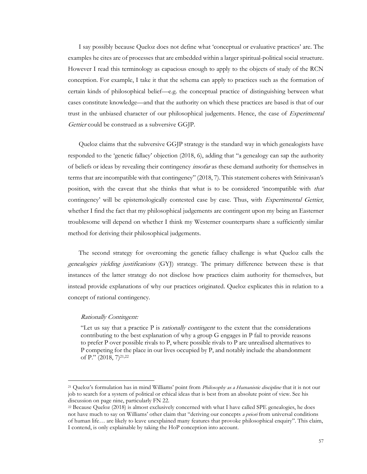I say possibly because Queloz does not define what 'conceptual or evaluative practices' are. The examples he cites are of processes that are embedded within a larger spiritual-political social structure. However I read this terminology as capacious enough to apply to the objects of study of the RCN conception. For example, I take it that the schema can apply to practices such as the formation of certain kinds of philosophical belief—e.g. the conceptual practice of distinguishing between what cases constitute knowledge—and that the authority on which these practices are based is that of our trust in the unbiased character of our philosophical judgements. Hence, the case of *Experimental* Gettier could be construed as a subversive GGJP.

Queloz claims that the subversive GGJP strategy is the standard way in which genealogists have responded to the 'genetic fallacy' objection (2018, 6), adding that "a genealogy can sap the authority of beliefs or ideas by revealing their contingency insofar as these demand authority for themselves in terms that are incompatible with that contingency" (2018, 7). This statement coheres with Srinivasan's position, with the caveat that she thinks that what is to be considered 'incompatible with that contingency' will be epistemologically contested case by case. Thus, with *Expertimental Gettier*, whether I find the fact that my philosophical judgements are contingent upon my being an Easterner troublesome will depend on whether I think my Westerner counterparts share a sufficiently similar method for deriving their philosophical judgements.

The second strategy for overcoming the genetic fallacy challenge is what Queloz calls the genealogies yielding justifications (GYJ) strategy. The primary difference between these is that instances of the latter strategy do not disclose how practices claim authority for themselves, but instead provide explanations of why our practices originated. Queloz explicates this in relation to a concept of rational contingency.

#### Rationally Contingent:

"Let us say that a practice P is rationally contingent to the extent that the considerations contributing to the best explanation of why a group G engages in P fail to provide reasons to prefer P over possible rivals to P, where possible rivals to P are unrealised alternatives to P competing for the place in our lives occupied by P, and notably include the abandonment of P." (2018, 7)<sup>21,22</sup>

<sup>&</sup>lt;sup>21</sup> Queloz's formulation has in mind Williams' point from *Philosophy as a Humanistic discipline* that it is not our job to search for a system of political or ethical ideas that is best from an absolute point of view. See his discussion on page nine, particularly FN 22.

<sup>22</sup> Because Queloz (2018) is almost exclusively concerned with what I have called SPE genealogies, he does not have much to say on Williams' other claim that "deriving our concepts a priori from universal conditions of human life… are likely to leave unexplained many features that provoke philosophical enquiry". This claim, I contend, is only explainable by taking the HoP conception into account.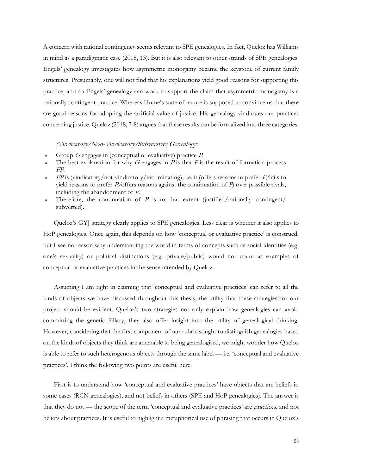A concern with rational contingency seems relevant to SPE genealogies. In fact, Queloz has Williams in mind as a paradigmatic case (2018, 13). But it is also relevant to other strands of SPE genealogies. Engels' genealogy investigates how asymmetric monogamy became the keystone of current family structures. Presumably, one will not find that his explanations yield good reasons for supporting this practice, and so Engels' genealogy can work to support the claim that asymmetric monogamy is a rationally contingent practice. Whereas Hume's state of nature is supposed to convince us that there are good reasons for adopting the artificial value of justice. His genealogy vindicates our practices concerning justice. Queloz (2018, 7-8) argues that these results can be formalized into three categories.

# (Vindicatory/Non-Vindicatory/Subversive) Genealogy:

- Group  $G$  engages in (conceptual or evaluative) practice  $P$ .
- The best explanation for why G engages in  $P$  is that  $P$  is the result of formation process FP.
- $FP$  is (vindicatory/not-vindicatory/incriminating), i.e. it (offers reasons to prefer  $P$ /fails to yield reasons to prefer  $P$ /offers reasons against the continuation of  $P$ ) over possible rivals, including the abandonment of P.
- Therefore, the continuation of  $P$  is to that extent (justified/rationally contingent/ subverted).

Queloz's GYJ strategy clearly applies to SPE genealogies. Less clear is whether it also applies to HoP genealogies. Once again, this depends on how 'conceptual or evaluative practice' is construed, but I see no reason why understanding the world in terms of concepts such as social identities (e.g. one's sexuality) or political distinctions (e.g. private/public) would not count as examples of conceptual or evaluative practices in the sense intended by Queloz.

Assuming I am right in claiming that 'conceptual and evaluative practices' can refer to all the kinds of objects we have discussed throughout this thesis, the utility that these strategies for our project should be evident. Queloz's two strategies not only explain how genealogies can avoid committing the genetic fallacy, they also offer insight into the utility of genealogical thinking. However, considering that the first component of our rubric sought to distinguish genealogies based on the kinds of objects they think are amenable to being genealogised, we might wonder how Queloz is able to refer to such heterogenous objects through the same label — i.e. 'conceptual and evaluative practices'. I think the following two points are useful here.

First is to understand how 'conceptual and evaluative practices' have objects that are beliefs in some cases (RCN genealogies), and not beliefs in others (SPE and HoP genealogies). The answer is that they do not — the scope of the term 'conceptual and evaluative practices' are practices, and not beliefs about practices. It is useful to highlight a metaphorical use of phrasing that occurs in Queloz's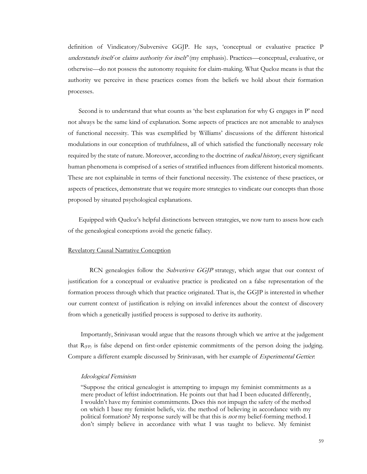definition of Vindicatory/Subversive GGJP. He says, 'conceptual or evaluative practice P understands itself or claims authority for itself' (my emphasis). Practices—conceptual, evaluative, or otherwise—do not possess the autonomy requisite for claim-making. What Queloz means is that the authority we perceive in these practices comes from the beliefs we hold about their formation processes.

Second is to understand that what counts as 'the best explanation for why G engages in P' need not always be the same kind of explanation. Some aspects of practices are not amenable to analyses of functional necessity. This was exemplified by Williams' discussions of the different historical modulations in our conception of truthfulness, all of which satisfied the functionally necessary role required by the state of nature. Moreover, according to the doctrine of radical history, every significant human phenomena is comprised of a series of stratified influences from different historical moments. These are not explainable in terms of their functional necessity. The existence of these practices, or aspects of practices, demonstrate that we require more strategies to vindicate our concepts than those proposed by situated psychological explanations.

Equipped with Queloz's helpful distinctions between strategies, we now turn to assess how each of the genealogical conceptions avoid the genetic fallacy.

#### Revelatory Causal Narrative Conception

RCN genealogies follow the *Subverisve GGJP* strategy, which argue that our context of justification for a conceptual or evaluative practice is predicated on a false representation of the formation process through which that practice originated. That is, the GGJP is interested in whether our current context of justification is relying on invalid inferences about the context of discovery from which a genetically justified process is supposed to derive its authority.

Importantly, Srinivasan would argue that the reasons through which we arrive at the judgement that  $R_{(FP)}$  is false depend on first-order epistemic commitments of the person doing the judging. Compare a different example discussed by Srinivasan, with her example of *Experimental Gettier*:

#### Ideological Feminism

"Suppose the critical genealogist is attempting to impugn my feminist commitments as a mere product of leftist indoctrination. He points out that had I been educated differently, I wouldn't have my feminist commitments. Does this not impugn the safety of the method on which I base my feminist beliefs, viz. the method of believing in accordance with my political formation? My response surely will be that this is not my belief-forming method. I don't simply believe in accordance with what I was taught to believe. My feminist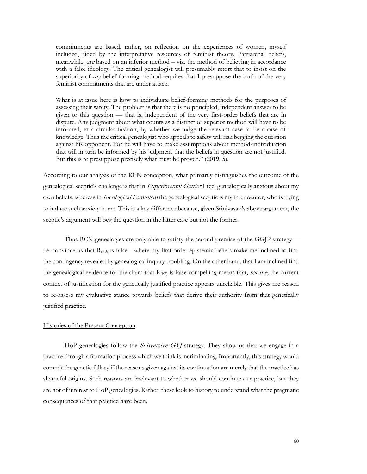commitments are based, rather, on reflection on the experiences of women, myself included, aided by the interpretative resources of feminist theory. Patriarchal beliefs, meanwhile, are based on an inferior method – viz. the method of believing in accordance with a false ideology. The critical genealogist will presumably retort that to insist on the superiority of *my* belief-forming method requires that I presuppose the truth of the very feminist commitments that are under attack.

What is at issue here is how to individuate belief-forming methods for the purposes of assessing their safety. The problem is that there is no principled, independent answer to be given to this question — that is, independent of the very first-order beliefs that are in dispute. Any judgment about what counts as a distinct or superior method will have to be informed, in a circular fashion, by whether we judge the relevant case to be a case of knowledge. Thus the critical genealogist who appeals to safety will risk begging the question against his opponent. For he will have to make assumptions about method-individuation that will in turn be informed by his judgment that the beliefs in question are not justified. But this is to presuppose precisely what must be proven." (2019, 5).

According to our analysis of the RCN conception, what primarily distinguishes the outcome of the genealogical sceptic's challenge is that in Experimental Gettier I feel genealogically anxious about my own beliefs, whereas in *Ideological Feminism* the genealogical sceptic is my interlocutor, who is trying to induce such anxiety in me. This is a key difference because, given Srinivasan's above argument, the sceptic's argument will beg the question in the latter case but not the former.

Thus RCN genealogies are only able to satisfy the second premise of the GGJP strategy i.e. convince us that  $R_{(FP)}$  is false—where my first-order epistemic beliefs make me inclined to find the contingency revealed by genealogical inquiry troubling. On the other hand, that I am inclined find the genealogical evidence for the claim that  $R_{(FP)}$  is false compelling means that, for me, the current context of justification for the genetically justified practice appears unreliable. This gives me reason to re-assess my evaluative stance towards beliefs that derive their authority from that genetically justified practice.

# Histories of the Present Conception

HoP genealogies follow the *Subversive GYJ* strategy. They show us that we engage in a practice through a formation process which we think is incriminating. Importantly, this strategy would commit the genetic fallacy if the reasons given against its continuation are merely that the practice has shameful origins. Such reasons are irrelevant to whether we should continue our practice, but they are not of interest to HoP genealogies. Rather, these look to history to understand what the pragmatic consequences of that practice have been.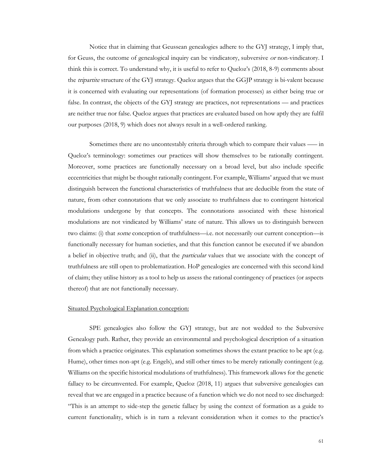Notice that in claiming that Geussean genealogies adhere to the GYJ strategy, I imply that, for Geuss, the outcome of genealogical inquiry can be vindicatory, subversive or non-vindicatory. I think this is correct. To understand why, it is useful to refer to Queloz's (2018, 8-9) comments about the *tripartite* structure of the GYJ strategy. Queloz argues that the GGJP strategy is bi-valent because it is concerned with evaluating our representations (of formation processes) as either being true or false. In contrast, the objects of the GYJ strategy are practices, not representations — and practices are neither true nor false. Queloz argues that practices are evaluated based on how aptly they are fulfil our purposes (2018, 9) which does not always result in a well-ordered ranking.

Sometimes there are no uncontestably criteria through which to compare their values -- in Queloz's terminology: sometimes our practices will show themselves to be rationally contingent. Moreover, some practices are functionally necessary on a broad level, but also include specific eccentricities that might be thought rationally contingent. For example, Williams' argued that we must distinguish between the functional characteristics of truthfulness that are deducible from the state of nature, from other connotations that we only associate to truthfulness due to contingent historical modulations undergone by that concepts. The connotations associated with these historical modulations are not vindicated by Williams' state of nature. This allows us to distinguish between two claims: (i) that *some* conception of truthfulness—i.e. not necessarily our current conception—is functionally necessary for human societies, and that this function cannot be executed if we abandon a belief in objective truth; and (ii), that the *particular* values that we associate with the concept of truthfulness are still open to problematization. HoP genealogies are concerned with this second kind of claim; they utilise history as a tool to help us assess the rational contingency of practices (or aspects thereof) that are not functionally necessary.

#### Situated Psychological Explanation conception:

SPE genealogies also follow the GYJ strategy, but are not wedded to the Subversive Genealogy path. Rather, they provide an environmental and psychological description of a situation from which a practice originates. This explanation sometimes shows the extant practice to be apt (e.g. Hume), other times non-apt (e.g. Engels), and still other times to be merely rationally contingent (e.g. Williams on the specific historical modulations of truthfulness). This framework allows for the genetic fallacy to be circumvented. For example, Queloz (2018, 11) argues that subversive genealogies can reveal that we are engaged in a practice because of a function which we do not need to see discharged: "This is an attempt to side-step the genetic fallacy by using the context of formation as a guide to current functionality, which is in turn a relevant consideration when it comes to the practice's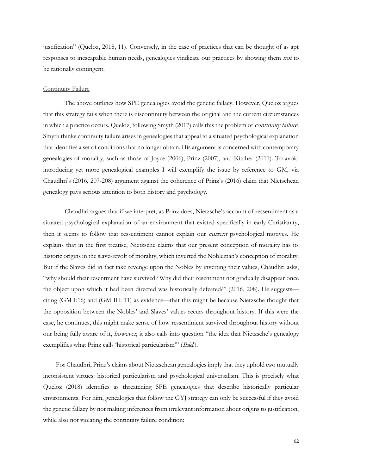justification" (Queloz, 2018, 11). Conversely, in the case of practices that can be thought of as apt responses to inescapable human needs, genealogies vindicate our practices by showing them not to be rationally contingent.

# **Continuity Failure**

The above outlines how SPE genealogies avoid the genetic fallacy. However, Queloz argues that this strategy fails when there is discontinuity between the original and the current circumstances in which a practice occurs. Queloz, following Smyth (2017) calls this the problem of continuity failure. Smyth thinks continuity failure arises in genealogies that appeal to a situated psychological explanation that identifies a set of conditions that no longer obtain. His argument is concerned with contemporary genealogies of morality, such as those of Joyce (2006), Prinz (2007), and Kitcher (2011). To avoid introducing yet more genealogical examples I will exemplify the issue by reference to GM, via Chaudhri's (2016, 207-208) argument against the coherence of Prinz's (2016) claim that Nietschean genealogy pays serious attention to both history and psychology.

Chaudhri argues that if we interpret, as Prinz does, Nietzsche's account of ressentiment as a situated psychological explanation of an environment that existed specifically in early Christianity, then it seems to follow that ressentiment cannot explain our *current* psychological motives. He explains that in the first treatise, Nietzsche claims that our present conception of morality has its historic origins in the slave-revolt of morality, which inverted the Nobleman's conception of morality. But if the Slaves did in fact take revenge upon the Nobles by inverting their values, Chaudhri asks, "why should their resentment have survived? Why did their resentment not gradually disappear once the object upon which it had been directed was historically defeated?" (2016, 208). He suggests citing (GM I:16) and (GM III: 11) as evidence—that this might be because Nietzsche thought that the opposition between the Nobles' and Slaves' values recurs throughout history. If this were the case, he continues, this might make sense of how ressentiment survived throughout history without our being fully aware of it, however, it also calls into question "the idea that Nietzsche's genealogy exemplifies what Prinz calls 'historical particularism'" (Ibid.).

For Chaudhri, Prinz's claims about Nietzschean genealogies imply that they uphold two mutually inconsistent virtues: historical particularism and psychological universalism. This is precisely what Queloz (2018) identifies as threatening SPE genealogies that describe historically particular environments. For him, genealogies that follow the GYJ strategy can only be successful if they avoid the genetic fallacy by not making inferences from irrelevant information about origins to justification, while also not violating the continuity failure condition: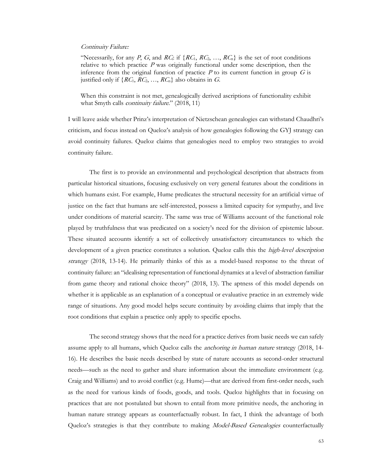#### Continuity Failure:

"Necessarily, for any P, G, and RC: if  $\{RC_1, RC_2, ..., RC_n\}$  is the set of root conditions relative to which practice  $P$  was originally functional under some description, then the inference from the original function of practice  $P$  to its current function in group  $G$  is justified only if  $\{RG_1, RC_2, ..., RC_n\}$  also obtains in G.

When this constraint is not met, genealogically derived ascriptions of functionality exhibit what Smyth calls *continuity failure.*" (2018, 11)

I will leave aside whether Prinz's interpretation of Nietzschean genealogies can withstand Chaudhri's criticism, and focus instead on Queloz's analysis of how genealogies following the GYJ strategy can avoid continuity failures. Queloz claims that genealogies need to employ two strategies to avoid continuity failure.

The first is to provide an environmental and psychological description that abstracts from particular historical situations, focusing exclusively on very general features about the conditions in which humans exist. For example, Hume predicates the structural necessity for an artificial virtue of justice on the fact that humans are self-interested, possess a limited capacity for sympathy, and live under conditions of material scarcity. The same was true of Williams account of the functional role played by truthfulness that was predicated on a society's need for the division of epistemic labour. These situated accounts identify a set of collectively unsatisfactory circumstances to which the development of a given practice constitutes a solution. Queloz calls this the *high-level description* strategy (2018, 13-14). He primarily thinks of this as a model-based response to the threat of continuity failure: an "idealising representation of functional dynamics at a level of abstraction familiar from game theory and rational choice theory" (2018, 13). The aptness of this model depends on whether it is applicable as an explanation of a conceptual or evaluative practice in an extremely wide range of situations. Any good model helps secure continuity by avoiding claims that imply that the root conditions that explain a practice only apply to specific epochs.

The second strategy shows that the need for a practice derives from basic needs we can safely assume apply to all humans, which Queloz calls the *anchoring in human nature* strategy (2018, 14-16). He describes the basic needs described by state of nature accounts as second-order structural needs—such as the need to gather and share information about the immediate environment (e.g. Craig and Williams) and to avoid conflict (e.g. Hume)—that are derived from first-order needs, such as the need for various kinds of foods, goods, and tools. Queloz highlights that in focusing on practices that are not postulated but shown to entail from more primitive needs, the anchoring in human nature strategy appears as counterfactually robust. In fact, I think the advantage of both Queloz's strategies is that they contribute to making *Model-Based Genealogies* counterfactually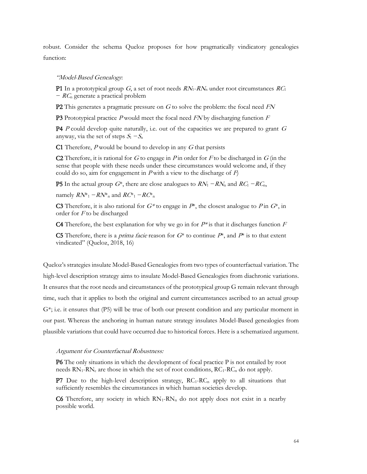robust. Consider the schema Queloz proposes for how pragmatically vindicatory genealogies function:

#### "Model-Based Genealogy:

**P1** In a prototypical group G, a set of root needs  $RN_1-RN_n$  under root circumstances  $RC_1$ − RC<sup>n</sup> generate a practical problem

**P2** This generates a pragmatic pressure on  $G$  to solve the problem: the focal need  $FN$ 

**P3** Prototypical practice  $P$  would meet the focal need  $F$ N by discharging function  $F$ 

**P4** P could develop quite naturally, i.e. out of the capacities we are prepared to grant  $G$ anyway, via the set of steps  $S_1 - S_n$ 

C1 Therefore,  $P$  would be bound to develop in any  $G$  that persists

C2 Therefore, it is rational for G to engage in P in order for F to be discharged in G (in the sense that people with these needs under these circumstances would welcome and, if they could do so, aim for engagement in  $P$  with a view to the discharge of  $F$ )

P5 In the actual group  $G^*$ , there are close analogues to  $RN_1 - RN_n$  and  $RC_1 - RC_n$ ,

namely  $RN^*_{1}$  –  $RN^*_{n}$  and  $RC^*_{1}$  –  $RC^*_{n}$ 

C3 Therefore, it is also rational for  $G^*$  to engage in  $P^*$ , the closest analogue to P in  $G^*$ , in order for  $F$  to be discharged

C4 Therefore, the best explanation for why we go in for  $P^*$  is that it discharges function F

C5 Therefore, there is a *prima facie* reason for  $G^*$  to continue  $P^*$ , and  $P^*$  is to that extent vindicated" (Queloz, 2018, 16)

Queloz's strategies insulate Model-Based Genealogies from two types of counterfactual variation. The high-level description strategy aims to insulate Model-Based Genealogies from diachronic variations. It ensures that the root needs and circumstances of the prototypical group G remain relevant through time, such that it applies to both the original and current circumstances ascribed to an actual group G\*; i.e. it ensures that (P5) will be true of both our present condition and any particular moment in our past. Whereas the anchoring in human nature strategy insulates Model-Based genealogies from plausible variations that could have occurred due to historical forces. Here is a schematized argument.

#### Argument for Counterfactual Robustness:

P6 The only situations in which the development of focal practice P is not entailed by root needs  $RN_1-RN_c$  are those in which the set of root conditions,  $RC_1-RC_n$  do not apply.

**P7** Due to the high-level description strategy,  $RC_1$ - $RC_1$  apply to all situations that sufficiently resembles the circumstances in which human societies develop.

C6 Therefore, any society in which  $RN_1-RN_n$  do not apply does not exist in a nearby possible world.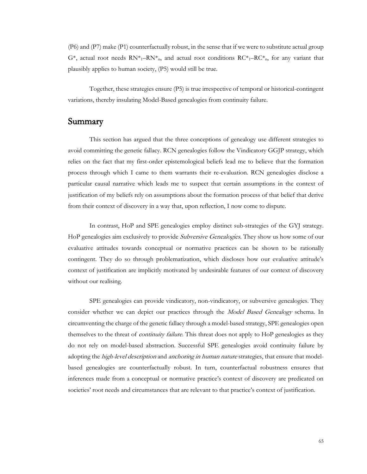(P6) and (P7) make (P1) counterfactually robust, in the sense that if we were to substitute actual group  $G^*$ , actual root needs  $RN^*_{1}-RN^*_{n}$ , and actual root conditions  $RC^*_{1}-RC^*_{n}$ , for any variant that plausibly applies to human society, (P5) would still be true.

Together, these strategies ensure (P5) is true irrespective of temporal or historical-contingent variations, thereby insulating Model-Based genealogies from continuity failure.

# Summary

This section has argued that the three conceptions of genealogy use different strategies to avoid committing the genetic fallacy. RCN genealogies follow the Vindicatory GGJP strategy, which relies on the fact that my first-order epistemological beliefs lead me to believe that the formation process through which I came to them warrants their re-evaluation. RCN genealogies disclose a particular causal narrative which leads me to suspect that certain assumptions in the context of justification of my beliefs rely on assumptions about the formation process of that belief that derive from their context of discovery in a way that, upon reflection, I now come to dispute.

In contrast, HoP and SPE genealogies employ distinct sub-strategies of the GYJ strategy. HoP genealogies aim exclusively to provide Subversive Genealogies. They show us how some of our evaluative attitudes towards conceptual or normative practices can be shown to be rationally contingent. They do so through problematization, which discloses how our evaluative attitude's context of justification are implicitly motivated by undesirable features of our context of discovery without our realising.

SPE genealogies can provide vindicatory, non-vindicatory, or subversive genealogies. They consider whether we can depict our practices through the *Model Based Genealogy* schema. In circumventing the charge of the genetic fallacy through a model-based strategy, SPE genealogies open themselves to the threat of *continuity failure*. This threat does not apply to HoP genealogies as they do not rely on model-based abstraction. Successful SPE genealogies avoid continuity failure by adopting the *high-level description* and *anchoring in human nature* strategies, that ensure that modelbased genealogies are counterfactually robust. In turn, counterfactual robustness ensures that inferences made from a conceptual or normative practice's context of discovery are predicated on societies' root needs and circumstances that are relevant to that practice's context of justification.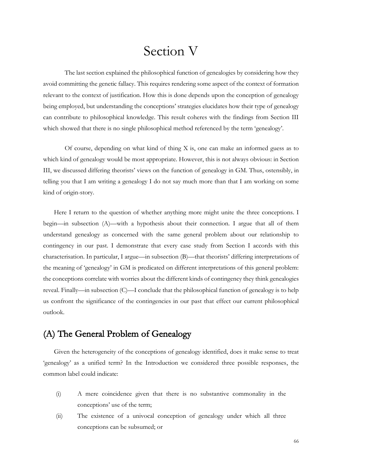# Section V

The last section explained the philosophical function of genealogies by considering how they avoid committing the genetic fallacy. This requires rendering some aspect of the context of formation relevant to the context of justification. How this is done depends upon the conception of genealogy being employed, but understanding the conceptions' strategies elucidates how their type of genealogy can contribute to philosophical knowledge. This result coheres with the findings from Section III which showed that there is no single philosophical method referenced by the term 'genealogy'.

Of course, depending on what kind of thing X is, one can make an informed guess as to which kind of genealogy would be most appropriate. However, this is not always obvious: in Section III, we discussed differing theorists' views on the function of genealogy in GM. Thus, ostensibly, in telling you that I am writing a genealogy I do not say much more than that I am working on some kind of origin-story.

Here I return to the question of whether anything more might unite the three conceptions. I begin—in subsection (A)—with a hypothesis about their connection. I argue that all of them understand genealogy as concerned with the same general problem about our relationship to contingency in our past. I demonstrate that every case study from Section I accords with this characterisation. In particular, I argue—in subsection (B)—that theorists' differing interpretations of the meaning of 'genealogy' in GM is predicated on different interpretations of this general problem: the conceptions correlate with worries about the different kinds of contingency they think genealogies reveal. Finally—in subsection (C)—I conclude that the philosophical function of genealogy is to help us confront the significance of the contingencies in our past that effect our current philosophical outlook.

# (A) The General Problem of Genealogy

Given the heterogeneity of the conceptions of genealogy identified, does it make sense to treat 'genealogy' as a unified term? In the Introduction we considered three possible responses, the common label could indicate:

- (i) A mere coincidence given that there is no substantive commonality in the conceptions' use of the term;
- (ii) The existence of a univocal conception of genealogy under which all three conceptions can be subsumed; or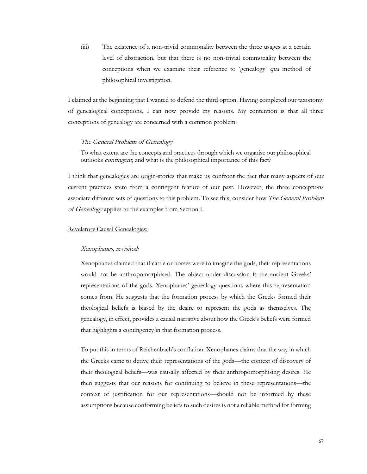(iii) The existence of a non-trivial commonality between the three usages at a certain level of abstraction, but that there is no non-trivial commonality between the conceptions when we examine their reference to 'genealogy' qua method of philosophical investigation.

I claimed at the beginning that I wanted to defend the third option. Having completed our taxonomy of genealogical conceptions, I can now provide my reasons. My contention is that all three conceptions of genealogy are concerned with a common problem:

# The General Problem of Genealogy

To what extent are the concepts and practices through which we organise our philosophical outlooks contingent, and what is the philosophical importance of this fact?

I think that genealogies are origin-stories that make us confront the fact that many aspects of our current practices stem from a contingent feature of our past. However, the three conceptions associate different sets of questions to this problem. To see this, consider how *The General Problem* of Genealogy applies to the examples from Section I.

#### Revelatory Causal Genealogies:

#### Xenophanes, revisited:

Xenophanes claimed that if cattle or horses were to imagine the gods, their representations would not be anthropomorphised. The object under discussion is the ancient Greeks' representations of the gods. Xenophanes' genealogy questions where this representation comes from. He suggests that the formation process by which the Greeks formed their theological beliefs is biased by the desire to represent the gods as themselves. The genealogy, in effect, provides a causal narrative about how the Greek's beliefs were formed that highlights a contingency in that formation process.

To put this in terms of Reichenbach's conflation: Xenophanes claims that the way in which the Greeks came to derive their representations of the gods—the context of discovery of their theological beliefs—was causally affected by their anthropomorphising desires. He then suggests that our reasons for continuing to believe in these representations—the context of justification for our representations—should not be informed by these assumptions because conforming beliefs to such desires is not a reliable method for forming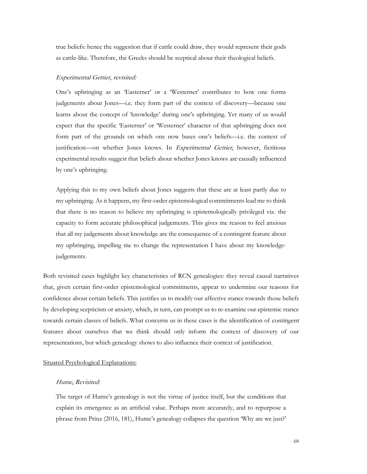true beliefs: hence the suggestion that if cattle could draw, they would represent their gods as cattle-like. Therefore, the Greeks should be sceptical about their theological beliefs.

#### Experimental Gettier, revisited:

One's upbringing as an 'Easterner' or a 'Westerner' contributes to how one forms judgements about Jones—i.e. they form part of the context of discovery—because one learns about the concept of 'knowledge' during one's upbringing. Yet many of us would expect that the specific 'Easterner' or 'Westerner' character of that upbringing does not form part of the grounds on which one now bases one's beliefs—i.e. the context of justification-on whether Jones knows. In Experimental Gettier, however, fictitious experimental results suggest that beliefs about whether Jones knows are causally influenced by one's upbringing.

Applying this to my own beliefs about Jones suggests that these are at least partly due to my upbringing. As it happens, my first-order epistemological commitments lead me to think that there is no reason to believe my upbringing is epistemologically privileged viz. the capacity to form accurate philosophical judgements. This gives me reason to feel anxious that all my judgements about knowledge are the consequence of a contingent feature about my upbringing, impelling me to change the representation I have about my knowledgejudgements.

Both revisited cases highlight key characteristics of RCN genealogies: they reveal causal narratives that, given certain first-order epistemological commitments, appear to undermine our reasons for confidence about certain beliefs. This justifies us to modify our affective stance towards those beliefs by developing scepticism or anxiety, which, in turn, can prompt us to re-examine our epistemic stance towards certain classes of beliefs. What concerns us in these cases is the identification of contingent features about ourselves that we think should only inform the context of discovery of our representations, but which genealogy shows to also influence their context of justification.

# Situated Psychological Explanations:

# Hume, Revisited:

The target of Hume's genealogy is not the virtue of justice itself, but the conditions that explain its emergence as an artificial value. Perhaps more accurately, and to repurpose a phrase from Prinz (2016, 181), Hume's genealogy collapses the question 'Why are we just?'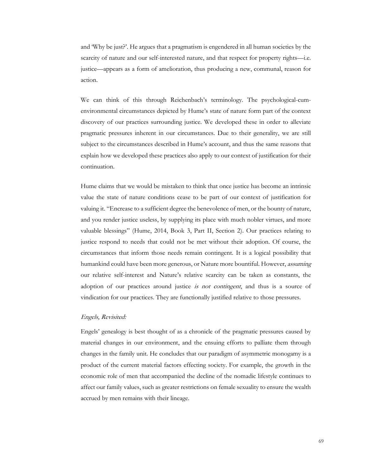and 'Why be just?'. He argues that a pragmatism is engendered in all human societies by the scarcity of nature and our self-interested nature, and that respect for property rights—i.e. justice—appears as a form of amelioration, thus producing a new, communal, reason for action.

We can think of this through Reichenbach's terminology. The psychological-cumenvironmental circumstances depicted by Hume's state of nature form part of the context discovery of our practices surrounding justice. We developed these in order to alleviate pragmatic pressures inherent in our circumstances. Due to their generality, we are still subject to the circumstances described in Hume's account, and thus the same reasons that explain how we developed these practices also apply to our context of justification for their continuation.

Hume claims that we would be mistaken to think that once justice has become an intrinsic value the state of nature conditions cease to be part of our context of justification for valuing it. "Encrease to a sufficient degree the benevolence of men, or the bounty of nature, and you render justice useless, by supplying its place with much nobler virtues, and more valuable blessings" (Hume, 2014, Book 3, Part II, Section 2). Our practices relating to justice respond to needs that could not be met without their adoption. Of course, the circumstances that inform those needs remain contingent. It is a logical possibility that humankind could have been more generous, or Nature more bountiful. However, *assuming* our relative self-interest and Nature's relative scarcity can be taken as constants, the adoption of our practices around justice is not contingent, and thus is a source of vindication for our practices. They are functionally justified relative to those pressures.

#### Engels, Revisited:

Engels' genealogy is best thought of as a chronicle of the pragmatic pressures caused by material changes in our environment, and the ensuing efforts to palliate them through changes in the family unit. He concludes that our paradigm of asymmetric monogamy is a product of the current material factors effecting society. For example, the growth in the economic role of men that accompanied the decline of the nomadic lifestyle continues to affect our family values, such as greater restrictions on female sexuality to ensure the wealth accrued by men remains with their lineage.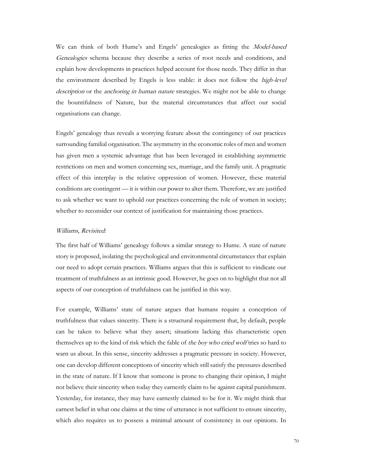We can think of both Hume's and Engels' genealogies as fitting the Model-based Genealogies schema because they describe a series of root needs and conditions, and explain how developments in practices helped account for those needs. They differ in that the environment described by Engels is less stable: it does not follow the *high-level* description or the *anchoring in human nature* strategies. We might not be able to change the bountifulness of Nature, but the material circumstances that affect our social organisations can change.

Engels' genealogy thus reveals a worrying feature about the contingency of our practices surrounding familial organisation. The asymmetry in the economic roles of men and women has given men a systemic advantage that has been leveraged in establishing asymmetric restrictions on men and women concerning sex, marriage, and the family unit. A pragmatic effect of this interplay is the relative oppression of women. However, these material conditions are contingent — it is within our power to alter them. Therefore, we are justified to ask whether we want to uphold our practices concerning the role of women in society; whether to reconsider our context of justification for maintaining those practices.

#### Williams, Revisited:

The first half of Williams' genealogy follows a similar strategy to Hume. A state of nature story is proposed, isolating the psychological and environmental circumstances that explain our need to adopt certain practices. Williams argues that this is sufficient to vindicate our treatment of truthfulness as an intrinsic good. However, he goes on to highlight that not all aspects of our conception of truthfulness can be justified in this way.

For example, Williams' state of nature argues that humans require a conception of truthfulness that values sincerity. There is a structural requirement that, by default, people can be taken to believe what they assert; situations lacking this characteristic open themselves up to the kind of risk which the fable of the boy who cried wolf tries so hard to warn us about. In this sense, sincerity addresses a pragmatic pressure in society. However, one can develop different conceptions of sincerity which still satisfy the pressures described in the state of nature. If I know that someone is prone to changing their opinion, I might not believe their sincerity when today they earnestly claim to be against capital punishment. Yesterday, for instance, they may have earnestly claimed to be for it. We might think that earnest belief in what one claims at the time of utterance is not sufficient to ensure sincerity, which also requires us to possess a minimal amount of consistency in our opinions. In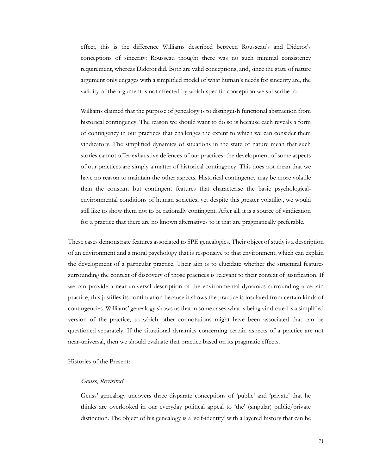effect, this is the difference Williams described between Rousseau's and Diderot's conceptions of sincerity: Rousseau thought there was no such minimal consistency requirement, whereas Diderot did. Both are valid conceptions, and, since the state of nature argument only engages with a simplified model of what human's needs for sincerity are, the validity of the argument is not affected by which specific conception we subscribe to.

Williams claimed that the purpose of genealogy is to distinguish functional abstraction from historical contingency. The reason we should want to do so is because each reveals a form of contingency in our practices that challenges the extent to which we can consider them vindicatory. The simplified dynamics of situations in the state of nature mean that such stories cannot offer exhaustive defences of our practices: the development of some aspects of our practices are simply a matter of historical contingency. This does not mean that we have no reason to maintain the other aspects. Historical contingency may be more volatile than the constant but contingent features that characterise the basic psychologicalenvironmental conditions of human societies, yet despite this greater volatility, we would still like to show them not to be rationally contingent. After all, it is a source of vindication for a practice that there are no known alternatives to it that are pragmatically preferable.

These cases demonstrate features associated to SPE genealogies. Their object of study is a description of an environment and a moral psychology that is responsive to that environment, which can explain the development of a particular practice. Their aim is to elucidate whether the structural features surrounding the context of discovery of those practices is relevant to their context of justification. If we can provide a near-universal description of the environmental dynamics surrounding a certain practice, this justifies its continuation because it shows the practice is insulated from certain kinds of contingencies. Williams' genealogy shows us that in some cases what is being vindicated is a simplified version of the practice, to which other connotations might have been associated that can be questioned separately. If the situational dynamics concerning certain aspects of a practice are not near-universal, then we should evaluate that practice based on its pragmatic effects.

# Histories of the Present:

## Geuss, Revisited

Geuss' genealogy uncovers three disparate conceptions of 'public' and 'private' that he thinks are overlooked in our everyday political appeal to 'the' (singular) public/private distinction. The object of his genealogy is a 'self-identity' with a layered history that can be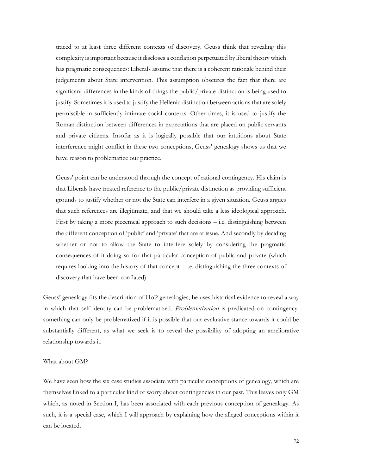traced to at least three different contexts of discovery. Geuss think that revealing this complexity is important because it discloses a conflation perpetuated by liberal theory which has pragmatic consequences: Liberals assume that there is a coherent rationale behind their judgements about State intervention. This assumption obscures the fact that there are significant differences in the kinds of things the public/private distinction is being used to justify. Sometimes it is used to justify the Hellenic distinction between actions that are solely permissible in sufficiently intimate social contexts. Other times, it is used to justify the Roman distinction between differences in expectations that are placed on public servants and private citizens. Insofar as it is logically possible that our intuitions about State interference might conflict in these two conceptions, Geuss' genealogy shows us that we have reason to problematize our practice.

Geuss' point can be understood through the concept of rational contingency. His claim is that Liberals have treated reference to the public/private distinction as providing sufficient grounds to justify whether or not the State can interfere in a given situation. Geuss argues that such references are illegitimate, and that we should take a less ideological approach. First by taking a more piecemeal approach to such decisions – i.e. distinguishing between the different conception of 'public' and 'private' that are at issue. And secondly by deciding whether or not to allow the State to interfere solely by considering the pragmatic consequences of it doing so for that particular conception of public and private (which requires looking into the history of that concept—i.e. distinguishing the three contexts of discovery that have been conflated).

Geuss' genealogy fits the description of HoP genealogies; he uses historical evidence to reveal a way in which that self-identity can be problematized. Problematization is predicated on contingency: something can only be problematized if it is possible that our evaluative stance towards it could be substantially different, as what we seek is to reveal the possibility of adopting an ameliorative relationship towards it.

# What about GM?

We have seen how the six case studies associate with particular conceptions of genealogy, which are themselves linked to a particular kind of worry about contingencies in our past. This leaves only GM which, as noted in Section I, has been associated with each previous conception of genealogy. As such, it is a special case, which I will approach by explaining how the alleged conceptions within it can be located.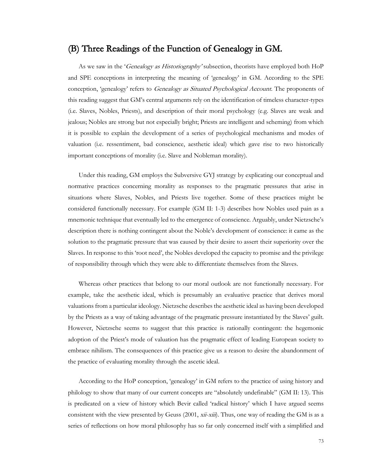## (B) Three Readings of the Function of Genealogy in GM.

As we saw in the '*Genealogy as Historiography*' subsection, theorists have employed both HoP and SPE conceptions in interpreting the meaning of 'genealogy' in GM. According to the SPE conception, 'genealogy' refers to Genealogy as Situated Psychological Account. The proponents of this reading suggest that GM's central arguments rely on the identification of timeless character-types (i.e. Slaves, Nobles, Priests), and description of their moral psychology (e.g. Slaves are weak and jealous; Nobles are strong but not especially bright; Priests are intelligent and scheming) from which it is possible to explain the development of a series of psychological mechanisms and modes of valuation (i.e. ressentiment, bad conscience, aesthetic ideal) which gave rise to two historically important conceptions of morality (i.e. Slave and Nobleman morality).

Under this reading, GM employs the Subversive GYJ strategy by explicating our conceptual and normative practices concerning morality as responses to the pragmatic pressures that arise in situations where Slaves, Nobles, and Priests live together. Some of these practices might be considered functionally necessary. For example (GM II: 1-3) describes how Nobles used pain as a mnemonic technique that eventually led to the emergence of conscience. Arguably, under Nietzsche's description there is nothing contingent about the Noble's development of conscience: it came as the solution to the pragmatic pressure that was caused by their desire to assert their superiority over the Slaves. In response to this 'root need', the Nobles developed the capacity to promise and the privilege of responsibility through which they were able to differentiate themselves from the Slaves.

Whereas other practices that belong to our moral outlook are not functionally necessary. For example, take the aesthetic ideal, which is presumably an evaluative practice that derives moral valuations from a particular ideology. Nietzsche describes the aesthetic ideal as having been developed by the Priests as a way of taking advantage of the pragmatic pressure instantiated by the Slaves' guilt. However, Nietzsche seems to suggest that this practice is rationally contingent: the hegemonic adoption of the Priest's mode of valuation has the pragmatic effect of leading European society to embrace nihilism. The consequences of this practice give us a reason to desire the abandonment of the practice of evaluating morality through the ascetic ideal.

According to the HoP conception, 'genealogy' in GM refers to the practice of using history and philology to show that many of our current concepts are "absolutely undefinable" (GM II: 13). This is predicated on a view of history which Bevir called 'radical history' which I have argued seems consistent with the view presented by Geuss (2001,  $xii-xiii$ ). Thus, one way of reading the GM is as a series of reflections on how moral philosophy has so far only concerned itself with a simplified and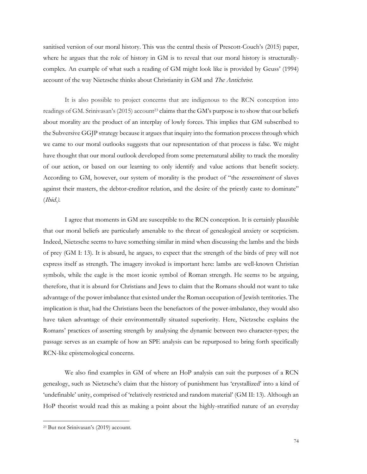sanitised version of our moral history. This was the central thesis of Prescott-Couch's (2015) paper, where he argues that the role of history in GM is to reveal that our moral history is structurallycomplex. An example of what such a reading of GM might look like is provided by Geuss' (1994) account of the way Nietzsche thinks about Christianity in GM and The Antichrist.

It is also possible to project concerns that are indigenous to the RCN conception into readings of GM. Srinivasan's (2015) account<sup>23</sup> claims that the GM's purpose is to show that our beliefs about morality are the product of an interplay of lowly forces. This implies that GM subscribed to the Subversive GGJP strategy because it argues that inquiry into the formation process through which we came to our moral outlooks suggests that our representation of that process is false. We might have thought that our moral outlook developed from some preternatural ability to track the morality of our action, or based on our learning to only identify and value actions that benefit society. According to GM, however, our system of morality is the product of "the ressentiment of slaves against their masters, the debtor-creditor relation, and the desire of the priestly caste to dominate" (Ibid.).

I agree that moments in GM are susceptible to the RCN conception. It is certainly plausible that our moral beliefs are particularly amenable to the threat of genealogical anxiety or scepticism. Indeed, Nietzsche seems to have something similar in mind when discussing the lambs and the birds of prey (GM I: 13). It is absurd, he argues, to expect that the strength of the birds of prey will not express itself as strength. The imagery invoked is important here: lambs are well-known Christian symbols, while the eagle is the most iconic symbol of Roman strength. He seems to be arguing, therefore, that it is absurd for Christians and Jews to claim that the Romans should not want to take advantage of the power imbalance that existed under the Roman occupation of Jewish territories. The implication is that, had the Christians been the benefactors of the power-imbalance, they would also have taken advantage of their environmentally situated superiority. Here, Nietzsche explains the Romans' practices of asserting strength by analysing the dynamic between two character-types; the passage serves as an example of how an SPE analysis can be repurposed to bring forth specifically RCN-like epistemological concerns.

We also find examples in GM of where an HoP analysis can suit the purposes of a RCN genealogy, such as Nietzsche's claim that the history of punishment has 'crystallized' into a kind of 'undefinable' unity, comprised of 'relatively restricted and random material' (GM II: 13). Although an HoP theorist would read this as making a point about the highly-stratified nature of an everyday

<sup>23</sup> But not Srinivasan's (2019) account.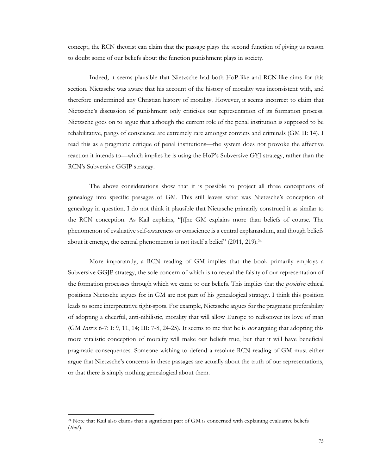concept, the RCN theorist can claim that the passage plays the second function of giving us reason to doubt some of our beliefs about the function punishment plays in society.

Indeed, it seems plausible that Nietzsche had both HoP-like and RCN-like aims for this section. Nietzsche was aware that his account of the history of morality was inconsistent with, and therefore undermined any Christian history of morality. However, it seems incorrect to claim that Nietzsche's discussion of punishment only criticises our representation of its formation process. Nietzsche goes on to argue that although the current role of the penal institution is supposed to be rehabilitative, pangs of conscience are extremely rare amongst convicts and criminals (GM II: 14). I read this as a pragmatic critique of penal institutions—the system does not provoke the affective reaction it intends to—which implies he is using the HoP's Subversive GYJ strategy, rather than the RCN's Subversive GGJP strategy.

The above considerations show that it is possible to project all three conceptions of genealogy into specific passages of GM. This still leaves what was Nietzsche's conception of genealogy in question. I do not think it plausible that Nietzsche primarily construed it as similar to the RCN conception. As Kail explains, "[t]he GM explains more than beliefs of course. The phenomenon of evaluative self-awareness or conscience is a central explanandum, and though beliefs about it emerge, the central phenomenon is not itself a belief" (2011, 219).<sup>24</sup>

More importantly, a RCN reading of GM implies that the book primarily employs a Subversive GGJP strategy, the sole concern of which is to reveal the falsity of our representation of the formation processes through which we came to our beliefs. This implies that the *positive* ethical positions Nietzsche argues for in GM are not part of his genealogical strategy. I think this position leads to some interpretative tight-spots. For example, Nietzsche argues for the pragmatic preferability of adopting a cheerful, anti-nihilistic, morality that will allow Europe to rediscover its love of man (GM Intro: 6-7: I: 9, 11, 14; III: 7-8, 24-25). It seems to me that he is not arguing that adopting this more vitalistic conception of morality will make our beliefs true, but that it will have beneficial pragmatic consequences. Someone wishing to defend a resolute RCN reading of GM must either argue that Nietzsche's concerns in these passages are actually about the truth of our representations, or that there is simply nothing genealogical about them.

<sup>24</sup> Note that Kail also claims that a significant part of GM is concerned with explaining evaluative beliefs (Ibid.).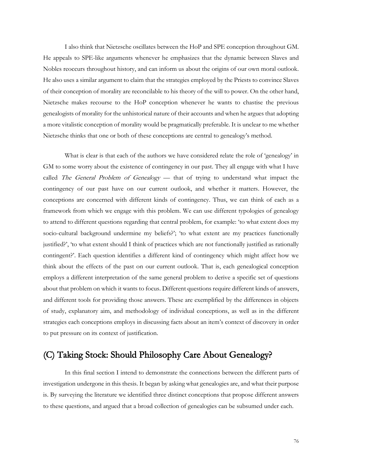I also think that Nietzsche oscillates between the HoP and SPE conception throughout GM. He appeals to SPE-like arguments whenever he emphasizes that the dynamic between Slaves and Nobles reoccurs throughout history, and can inform us about the origins of our own moral outlook. He also uses a similar argument to claim that the strategies employed by the Priests to convince Slaves of their conception of morality are reconcilable to his theory of the will to power. On the other hand, Nietzsche makes recourse to the HoP conception whenever he wants to chastise the previous genealogists of morality for the unhistorical nature of their accounts and when he argues that adopting a more vitalistic conception of morality would be pragmatically preferable. It is unclear to me whether Nietzsche thinks that one or both of these conceptions are central to genealogy's method.

What is clear is that each of the authors we have considered relate the role of 'genealogy' in GM to some worry about the existence of contingency in our past. They all engage with what I have called The General Problem of Genealogy - that of trying to understand what impact the contingency of our past have on our current outlook, and whether it matters. However, the conceptions are concerned with different kinds of contingency. Thus, we can think of each as a framework from which we engage with this problem. We can use different typologies of genealogy to attend to different questions regarding that central problem, for example: 'to what extent does my socio-cultural background undermine my beliefs?'; 'to what extent are my practices functionally justified?', 'to what extent should I think of practices which are not functionally justified as rationally contingent?'. Each question identifies a different kind of contingency which might affect how we think about the effects of the past on our current outlook. That is, each genealogical conception employs a different interpretation of the same general problem to derive a specific set of questions about that problem on which it wants to focus. Different questions require different kinds of answers, and different tools for providing those answers. These are exemplified by the differences in objects of study, explanatory aim, and methodology of individual conceptions, as well as in the different strategies each conceptions employs in discussing facts about an item's context of discovery in order to put pressure on its context of justification.

## (C) Taking Stock: Should Philosophy Care About Genealogy?

In this final section I intend to demonstrate the connections between the different parts of investigation undergone in this thesis. It began by asking what genealogies are, and what their purpose is. By surveying the literature we identified three distinct conceptions that propose different answers to these questions, and argued that a broad collection of genealogies can be subsumed under each.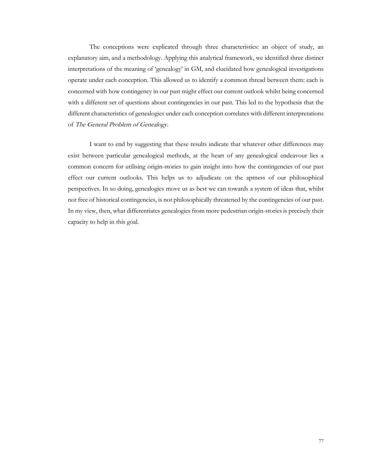The conceptions were explicated through three characteristics: an object of study, an explanatory aim, and a methodology. Applying this analytical framework, we identified three distinct interpretations of the meaning of 'genealogy' in GM, and elucidated how genealogical investigations operate under each conception. This allowed us to identify a common thread between them: each is concerned with how contingency in our past might effect our current outlook whilst being concerned with a different set of questions about contingencies in our past. This led to the hypothesis that the different characteristics of genealogies under each conception correlates with different interpretations of The General Problem of Genealogy.

I want to end by suggesting that these results indicate that whatever other differences may exist between particular genealogical methods, at the heart of any genealogical endeavour lies a common concern for utilising origin-stories to gain insight into how the contingencies of our past effect our current outlooks. This helps us to adjudicate on the aptness of our philosophical perspectives. In so doing, genealogies move us as best we can towards a system of ideas that, whilst not free of historical contingencies, is not philosophically threatened by the contingencies of our past. In my view, then, what differentiates genealogies from more pedestrian origin-stories is precisely their capacity to help in this goal.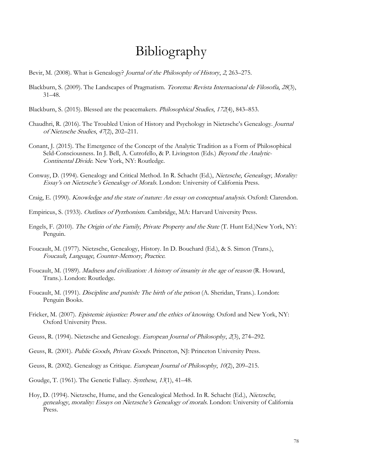## Bibliography

- Bevir, M. (2008). What is Genealogy? Journal of the Philosophy of History, 2, 263-275.
- Blackburn, S. (2009). The Landscapes of Pragmatism. Teorema: Revista Internacional de Filosofía, 28(3), 31–48.
- Blackburn, S. (2015). Blessed are the peacemakers. Philosophical Studies, 172(4), 843–853.
- Chaudhri, R. (2016). The Troubled Union of History and Psychology in Nietzsche's Genealogy. Journal of Nietzsche Studies, 47(2), 202–211.
- Conant, J. (2015). The Emergence of the Concept of the Analytic Tradition as a Form of Philosophical Seld-Consciousness. In J. Bell, A. Cutrofello, & P. Livingston (Eds.) Beyond the Analytic-Continental Divide. New York, NY: Routledge.
- Conway, D. (1994). Genealogy and Critical Method. In R. Schacht (Ed.), Nietzsche, Genealogy, Morality: Essay's on Nietzsche's Genealogy of Morals. London: University of California Press.
- Craig, E. (1990). Knowledge and the state of nature: An essay on conceptual analysis. Oxford: Clarendon.
- Empiricus, S. (1933). Outlines of Pyrrhonism. Cambridge, MA: Harvard University Press.
- Engels, F. (2010). The Origin of the Family, Private Property and the State (T. Hunt Ed.)New York, NY: Penguin.
- Foucault, M. (1977). Nietzsche, Genealogy, History. In D. Bouchard (Ed.), & S. Simon (Trans.), Foucault, Language, Counter-Memory, Practice.
- Foucault, M. (1989). Madness and civilization: A history of insanity in the age of reason (R. Howard, Trans.). London: Routledge.
- Foucault, M. (1991). Discipline and punish: The birth of the prison (A. Sheridan, Trans.). London: Penguin Books.
- Fricker, M. (2007). *Epistemic injustice: Power and the ethics of knowing*. Oxford and New York, NY: Oxford University Press.
- Geuss, R. (1994). Nietzsche and Genealogy. European Journal of Philosophy, 2(3), 274–292.
- Geuss, R. (2001). Public Goods, Private Goods. Princeton, NJ: Princeton University Press.
- Geuss, R. (2002). Genealogy as Critique. European Journal of Philosophy, 10(2), 209–215.
- Goudge, T. (1961). The Genetic Fallacy. Synthese, 13(1), 41–48.
- Hoy, D. (1994). Nietzsche, Hume, and the Genealogical Method. In R. Schacht (Ed.), Nietzsche, genealogy, morality: Essays on Nietzsche's Genealogy of morals. London: University of California Press.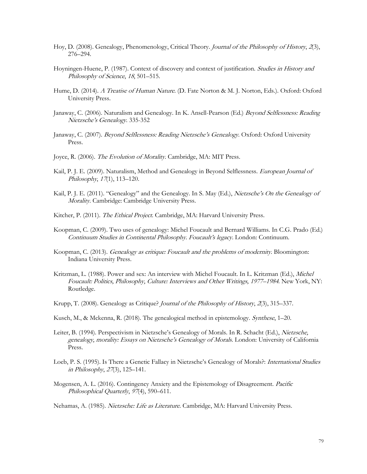- Hoy, D. (2008). Genealogy, Phenomenology, Critical Theory. Journal of the Philosophy of History, 2(3), 276–294.
- Hoyningen-Huene, P. (1987). Context of discovery and context of justification. Studies in History and Philosophy of Science, 18, 501-515.
- Hume, D. (2014). A Treatise of Human Nature. (D. Fate Norton & M. J. Norton, Eds.). Oxford: Oxford University Press.
- Janaway, C. (2006). Naturalism and Genealogy. In K. Ansell-Pearson (Ed.) Beyond Selflessness: Reading Nietzsche's Genealogy. 335-352
- Janaway, C. (2007). Beyond Selflessness: Reading Nietzsche's Genealogy. Oxford: Oxford University Press.
- Joyce, R. (2006). The Evolution of Morality. Cambridge, MA: MIT Press.
- Kail, P. J. E. (2009). Naturalism, Method and Genealogy in Beyond Selflessness. European Journal of Philosophy, 17(1), 113-120.
- Kail, P. J. E. (2011). "Genealogy" and the Genealogy. In S. May (Ed.), Nietzsche's On the Genealogy of Morality. Cambridge: Cambridge University Press.
- Kitcher, P. (2011). The Ethical Project. Cambridge, MA: Harvard University Press.
- Koopman, C. (2009). Two uses of genealogy: Michel Foucault and Bernard Williams. In C.G. Prado (Ed.) Continuum Studies in Continental Philosophy. Foucault's legacy. London: Continuum.
- Koopman, C. (2013). Genealogy as critique: Foucault and the problems of modernity. Bloomington: Indiana University Press.
- Kritzman, L. (1988). Power and sex: An interview with Michel Foucault. In L. Kritzman (Ed.), Michel Foucault: Politics, Philosophy, Culture: Interviews and Other Writings, 1977–<sup>1984</sup>. New York, NY: Routledge.
- Krupp, T. (2008). Genealogy as Critique? Journal of the Philosophy of History, 2(3), 315–337.
- Kusch, M., & Mckenna, R. (2018). The genealogical method in epistemology. Synthese, 1–20.
- Leiter, B. (1994). Perspectivism in Nietzsche's Genealogy of Morals. In R. Schacht (Ed.), Nietzsche, genealogy, morality: Essays on Nietzsche's Genealogy of Morals. London: University of California Press.
- Loeb, P. S. (1995). Is There a Genetic Fallacy in Nietzsche's Genealogy of Morals?: International Studies in Philosophy, 27(3), 125–141.
- Mogensen, A. L. (2016). Contingency Anxiety and the Epistemology of Disagreement. Pacific Philosophical Quarterly, 97(4), 590-611.

Nehamas, A. (1985). Nietzsche: Life as Literature. Cambridge, MA: Harvard University Press.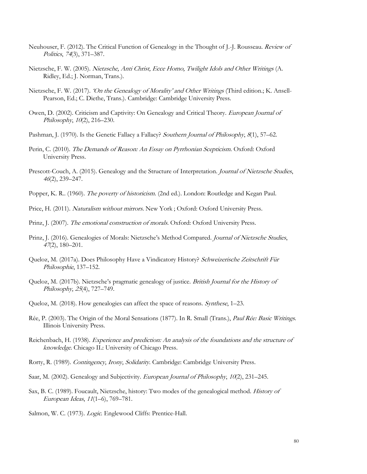- Neuhouser, F. (2012). The Critical Function of Genealogy in the Thought of J.-J. Rousseau. Review of Politics, 74(3), 371–387.
- Nietzsche, F. W. (2005). Nietzsche, Anti Christ, Ecce Homo, Twilight Idols and Other Writings (A. Ridley, Ed.; J. Norman, Trans.).
- Nietzsche, F. W. (2017). 'On the Genealogy of Morality' and Other Writings (Third edition.; K. Ansell-Pearson, Ed.; C. Diethe, Trans.). Cambridge: Cambridge University Press.
- Owen, D. (2002). Criticism and Captivity: On Genealogy and Critical Theory. European Journal of Philosophy, 10(2), 216–230.
- Pashman, J. (1970). Is the Genetic Fallacy a Fallacy? Southern Journal of Philosophy, 8(1), 57-62.
- Perin, C. (2010). The Demands of Reason: An Essay on Pyrrhonian Scepticism. Oxford: Oxford University Press.
- Prescott-Couch, A. (2015). Genealogy and the Structure of Interpretation. Journal of Nietzsche Studies, <sup>46</sup>(2), 239–247.
- Popper, K. R.. (1960). *The poverty of historicism.* (2nd ed.). London: Routledge and Kegan Paul.
- Price, H. (2011). Naturalism without mirrors. New York ; Oxford: Oxford University Press.
- Prinz, J. (2007). The emotional construction of morals. Oxford: Oxford University Press.
- Prinz, J. (2016). Genealogies of Morals: Nietzsche's Method Compared. Journal of Nietzsche Studies, <sup>47</sup>(2), 180–201.
- Queloz, M. (2017a). Does Philosophy Have a Vindicatory History? Schweizerische Zeitschrift Für Philosophie, 137–152.
- Queloz, M. (2017b). Nietzsche's pragmatic genealogy of justice. British Journal for the History of Philosophy, <sup>25</sup>(4), 727–749.
- Queloz, M. (2018). How genealogies can affect the space of reasons. Synthese, 1–23.
- Rée, P. (2003). The Origin of the Moral Sensations (1877). In R. Small (Trans.), Paul Rée: Basic Writings. Illinois University Press.
- Reichenbach, H. (1938). Experience and prediction: An analysis of the foundations and the structure of knowledge. Chicago IL: University of Chicago Press.
- Rorty, R. (1989). Contingency, Irony, Solidarity. Cambridge: Cambridge University Press.
- Saar, M. (2002). Genealogy and Subjectivity. European Journal of Philosophy, 10(2), 231–245.
- Sax, B. C. (1989). Foucault, Nietzsche, history: Two modes of the genealogical method. History of European Ideas, 11(1–6), 769–781.
- Salmon, W. C. (1973). Logic. Englewood Cliffs: Prentice-Hall.